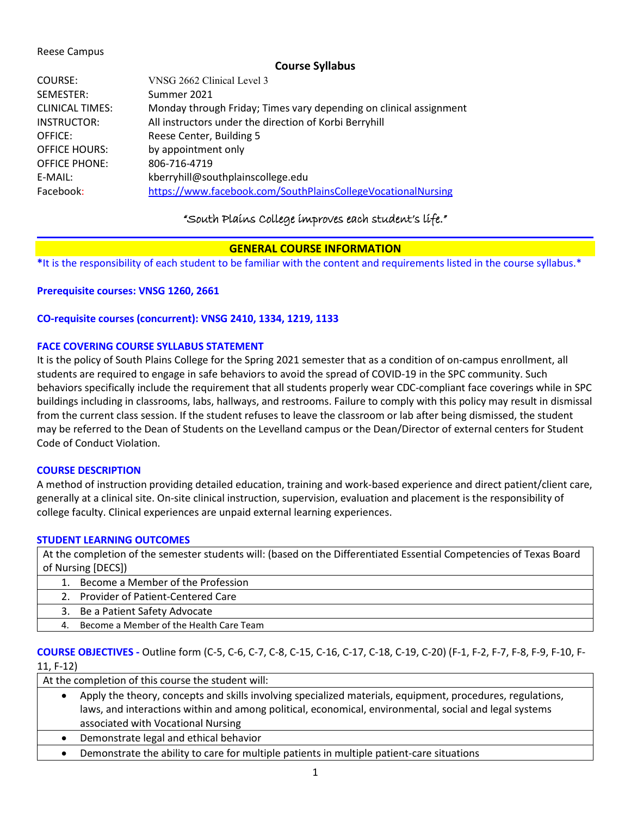### Reese Campus

## **Course Syllabus**

| COURSE:                | VNSG 2662 Clinical Level 3                                         |
|------------------------|--------------------------------------------------------------------|
| SEMESTER:              | Summer 2021                                                        |
| <b>CLINICAL TIMES:</b> | Monday through Friday; Times vary depending on clinical assignment |
| <b>INSTRUCTOR:</b>     | All instructors under the direction of Korbi Berryhill             |
| OFFICE:                | Reese Center, Building 5                                           |
| <b>OFFICE HOURS:</b>   | by appointment only                                                |
| <b>OFFICE PHONE:</b>   | 806-716-4719                                                       |
| E-MAIL:                | kberryhill@southplainscollege.edu                                  |
| Facebook:              | https://www.facebook.com/SouthPlainsCollegeVocationalNursing       |

## "South Plains College improves each student's life."

## **GENERAL COURSE INFORMATION**

**\***It is the responsibility of each student to be familiar with the content and requirements listed in the course syllabus.\*

**Prerequisite courses: VNSG 1260, 2661**

## **CO-requisite courses (concurrent): VNSG 2410, 1334, 1219, 1133**

## **FACE COVERING COURSE SYLLABUS STATEMENT**

It is the policy of South Plains College for the Spring 2021 semester that as a condition of on-campus enrollment, all students are required to engage in safe behaviors to avoid the spread of COVID-19 in the SPC community. Such behaviors specifically include the requirement that all students properly wear CDC-compliant face coverings while in SPC buildings including in classrooms, labs, hallways, and restrooms. Failure to comply with this policy may result in dismissal from the current class session. If the student refuses to leave the classroom or lab after being dismissed, the student may be referred to the Dean of Students on the Levelland campus or the Dean/Director of external centers for Student Code of Conduct Violation.

## **COURSE DESCRIPTION**

A method of instruction providing detailed education, training and work-based experience and direct patient/client care, generally at a clinical site. On-site clinical instruction, supervision, evaluation and placement is the responsibility of college faculty. Clinical experiences are unpaid external learning experiences.

## **STUDENT LEARNING OUTCOMES**

At the completion of the semester students will: (based on the Differentiated Essential Competencies of Texas Board of Nursing [DECS])

- 1. Become a Member of the Profession
	- 2. Provider of Patient-Centered Care
- 3. Be a Patient Safety Advocate
- 4. Become a Member of the Health Care Team

## **COURSE OBJECTIVES -** Outline form (C-5, C-6, C-7, C-8, C-15, C-16, C-17, C-18, C-19, C-20) (F-1, F-2, F-7, F-8, F-9, F-10, F-11, F-12)

At the completion of this course the student will:

- Apply the theory, concepts and skills involving specialized materials, equipment, procedures, regulations, laws, and interactions within and among political, economical, environmental, social and legal systems associated with Vocational Nursing
- Demonstrate legal and ethical behavior
- Demonstrate the ability to care for multiple patients in multiple patient-care situations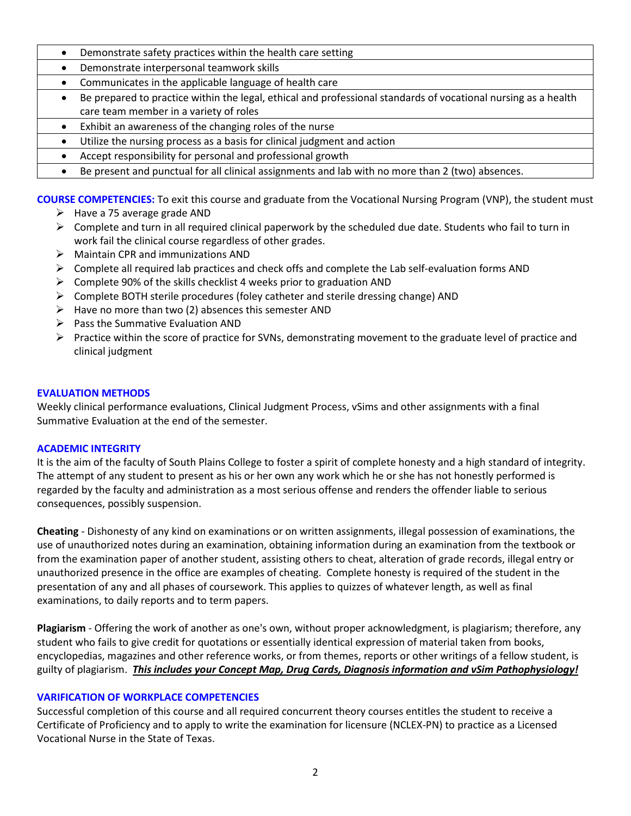- Demonstrate safety practices within the health care setting
- Demonstrate interpersonal teamwork skills
- Communicates in the applicable language of health care
- Be prepared to practice within the legal, ethical and professional standards of vocational nursing as a health care team member in a variety of roles
- Exhibit an awareness of the changing roles of the nurse
- Utilize the nursing process as a basis for clinical judgment and action
- Accept responsibility for personal and professional growth
- Be present and punctual for all clinical assignments and lab with no more than 2 (two) absences.

**COURSE COMPETENCIES:** To exit this course and graduate from the Vocational Nursing Program (VNP), the student must

- $\triangleright$  Have a 75 average grade AND
- $\triangleright$  Complete and turn in all required clinical paperwork by the scheduled due date. Students who fail to turn in work fail the clinical course regardless of other grades.
- $\triangleright$  Maintain CPR and immunizations AND
- $\triangleright$  Complete all required lab practices and check offs and complete the Lab self-evaluation forms AND
- $\triangleright$  Complete 90% of the skills checklist 4 weeks prior to graduation AND
- $\triangleright$  Complete BOTH sterile procedures (foley catheter and sterile dressing change) AND
- $\triangleright$  Have no more than two (2) absences this semester AND
- $\triangleright$  Pass the Summative Evaluation AND
- $\triangleright$  Practice within the score of practice for SVNs, demonstrating movement to the graduate level of practice and clinical judgment

## **EVALUATION METHODS**

Weekly clinical performance evaluations, Clinical Judgment Process, vSims and other assignments with a final Summative Evaluation at the end of the semester.

## **ACADEMIC INTEGRITY**

It is the aim of the faculty of South Plains College to foster a spirit of complete honesty and a high standard of integrity. The attempt of any student to present as his or her own any work which he or she has not honestly performed is regarded by the faculty and administration as a most serious offense and renders the offender liable to serious consequences, possibly suspension.

**Cheating** - Dishonesty of any kind on examinations or on written assignments, illegal possession of examinations, the use of unauthorized notes during an examination, obtaining information during an examination from the textbook or from the examination paper of another student, assisting others to cheat, alteration of grade records, illegal entry or unauthorized presence in the office are examples of cheating. Complete honesty is required of the student in the presentation of any and all phases of coursework. This applies to quizzes of whatever length, as well as final examinations, to daily reports and to term papers.

**Plagiarism** - Offering the work of another as one's own, without proper acknowledgment, is plagiarism; therefore, any student who fails to give credit for quotations or essentially identical expression of material taken from books, encyclopedias, magazines and other reference works, or from themes, reports or other writings of a fellow student, is guilty of plagiarism. *This includes your Concept Map, Drug Cards, Diagnosis information and vSim Pathophysiology!*

## **VARIFICATION OF WORKPLACE COMPETENCIES**

Successful completion of this course and all required concurrent theory courses entitles the student to receive a Certificate of Proficiency and to apply to write the examination for licensure (NCLEX-PN) to practice as a Licensed Vocational Nurse in the State of Texas.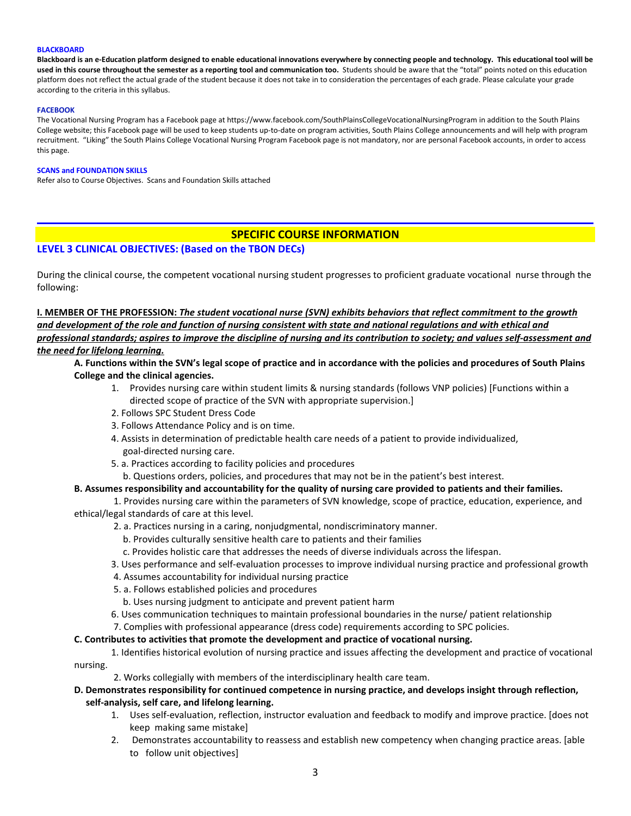#### **BLACKBOARD**

**Blackboard is an e-Education platform designed to enable educational innovations everywhere by connecting people and technology. This educational tool will be used in this course throughout the semester as a reporting tool and communication too.** Students should be aware that the "total" points noted on this education platform does not reflect the actual grade of the student because it does not take in to consideration the percentages of each grade. Please calculate your grade according to the criteria in this syllabus.

#### **FACEBOOK**

The Vocational Nursing Program has a Facebook page at https://www.facebook.com/SouthPlainsCollegeVocationalNursingProgram in addition to the South Plains College website; this Facebook page will be used to keep students up-to-date on program activities, South Plains College announcements and will help with program recruitment. "Liking" the South Plains College Vocational Nursing Program Facebook page is not mandatory, nor are personal Facebook accounts, in order to access this page.

#### **SCANS and FOUNDATION SKILLS**

Refer also to Course Objectives. Scans and Foundation Skills attached

## **SPECIFIC COURSE INFORMATION**

### **LEVEL 3 CLINICAL OBJECTIVES: (Based on the TBON DECs)**

During the clinical course, the competent vocational nursing student progresses to proficient graduate vocational nurse through the following:

**I. MEMBER OF THE PROFESSION:** *The student vocational nurse (SVN) exhibits behaviors that reflect commitment to the growth and development of the role and function of nursing consistent with state and national regulations and with ethical and professional standards; aspires to improve the discipline of nursing and its contribution to society; and values self-assessment and the need for lifelong learning.* 

**A. Functions within the SVN's legal scope of practice and in accordance with the policies and procedures of South Plains College and the clinical agencies.** 

- 1. Provides nursing care within student limits & nursing standards (follows VNP policies) [Functions within a directed scope of practice of the SVN with appropriate supervision.]
- 2. Follows SPC Student Dress Code
- 3. Follows Attendance Policy and is on time.
- 4. Assists in determination of predictable health care needs of a patient to provide individualized, goal-directed nursing care.
- 5. a. Practices according to facility policies and procedures

b. Questions orders, policies, and procedures that may not be in the patient's best interest.

#### **B. Assumes responsibility and accountability for the quality of nursing care provided to patients and their families.**

1. Provides nursing care within the parameters of SVN knowledge, scope of practice, education, experience, and ethical/legal standards of care at this level.

- 2. a. Practices nursing in a caring, nonjudgmental, nondiscriminatory manner.
	- b. Provides culturally sensitive health care to patients and their families
	- c. Provides holistic care that addresses the needs of diverse individuals across the lifespan.
- 3. Uses performance and self-evaluation processes to improve individual nursing practice and professional growth
- 4. Assumes accountability for individual nursing practice
- 5. a. Follows established policies and procedures
	- b. Uses nursing judgment to anticipate and prevent patient harm
- 6. Uses communication techniques to maintain professional boundaries in the nurse/ patient relationship
- 7. Complies with professional appearance (dress code) requirements according to SPC policies.

#### **C. Contributes to activities that promote the development and practice of vocational nursing.**

- 1. Identifies historical evolution of nursing practice and issues affecting the development and practice of vocational nursing.
	- 2. Works collegially with members of the interdisciplinary health care team.

#### **D. Demonstrates responsibility for continued competence in nursing practice, and develops insight through reflection, self-analysis, self care, and lifelong learning.**

- 1. Uses self-evaluation, reflection, instructor evaluation and feedback to modify and improve practice. [does not keep making same mistake]
- 2. Demonstrates accountability to reassess and establish new competency when changing practice areas. [able to follow unit objectives]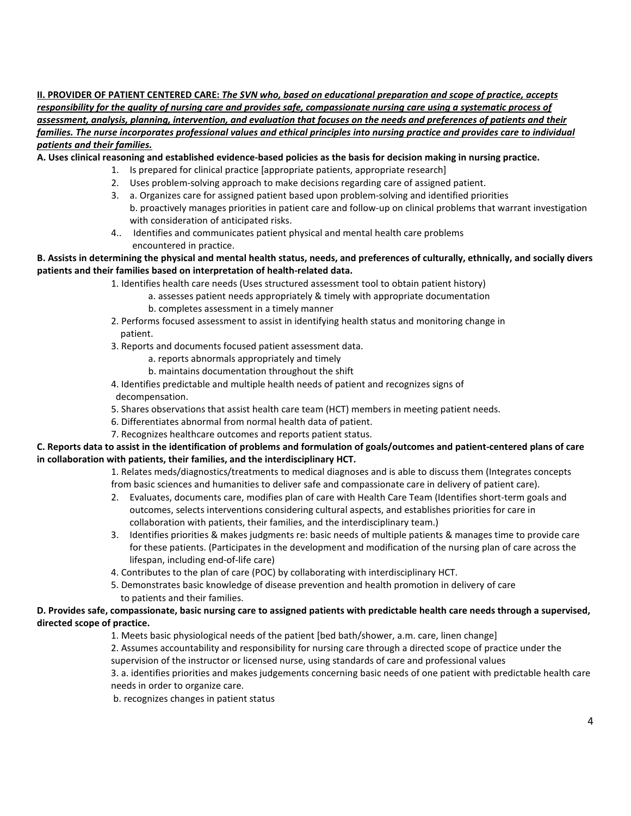**II. PROVIDER OF PATIENT CENTERED CARE:** *The SVN who, based on educational preparation and scope of practice, accepts responsibility for the quality of nursing care and provides safe, compassionate nursing care using a systematic process of assessment, analysis, planning, intervention, and evaluation that focuses on the needs and preferences of patients and their families. The nurse incorporates professional values and ethical principles into nursing practice and provides care to individual patients and their families.*

**A. Uses clinical reasoning and established evidence-based policies as the basis for decision making in nursing practice.**

- 1. Is prepared for clinical practice [appropriate patients, appropriate research]
- 2. Uses problem-solving approach to make decisions regarding care of assigned patient.
- 3. a. Organizes care for assigned patient based upon problem-solving and identified priorities b. proactively manages priorities in patient care and follow-up on clinical problems that warrant investigation with consideration of anticipated risks.
- 4.. Identifies and communicates patient physical and mental health care problems encountered in practice.

### **B. Assists in determining the physical and mental health status, needs, and preferences of culturally, ethnically, and socially divers patients and their families based on interpretation of health-related data.**

- 1. Identifies health care needs (Uses structured assessment tool to obtain patient history)
	- a. assesses patient needs appropriately & timely with appropriate documentation
	- b. completes assessment in a timely manner
- 2. Performs focused assessment to assist in identifying health status and monitoring change in patient.
- 3. Reports and documents focused patient assessment data.
	- a. reports abnormals appropriately and timely
	- b. maintains documentation throughout the shift
- 4. Identifies predictable and multiple health needs of patient and recognizes signs of decompensation.
- 5. Shares observations that assist health care team (HCT) members in meeting patient needs.
- 6. Differentiates abnormal from normal health data of patient.
- 7. Recognizes healthcare outcomes and reports patient status.

### **C. Reports data to assist in the identification of problems and formulation of goals/outcomes and patient-centered plans of care in collaboration with patients, their families, and the interdisciplinary HCT.**

1. Relates meds/diagnostics/treatments to medical diagnoses and is able to discuss them (Integrates concepts from basic sciences and humanities to deliver safe and compassionate care in delivery of patient care).

- 2. Evaluates, documents care, modifies plan of care with Health Care Team (Identifies short-term goals and outcomes, selects interventions considering cultural aspects, and establishes priorities for care in collaboration with patients, their families, and the interdisciplinary team.)
- 3. Identifies priorities & makes judgments re: basic needs of multiple patients & manages time to provide care for these patients. (Participates in the development and modification of the nursing plan of care across the lifespan, including end-of-life care)
- 4. Contributes to the plan of care (POC) by collaborating with interdisciplinary HCT.
- 5. Demonstrates basic knowledge of disease prevention and health promotion in delivery of care to patients and their families.

### **D. Provides safe, compassionate, basic nursing care to assigned patients with predictable health care needs through a supervised, directed scope of practice.**

- 1. Meets basic physiological needs of the patient [bed bath/shower, a.m. care, linen change]
- 2. Assumes accountability and responsibility for nursing care through a directed scope of practice under the supervision of the instructor or licensed nurse, using standards of care and professional values
- 3. a. identifies priorities and makes judgements concerning basic needs of one patient with predictable health care needs in order to organize care.
- b. recognizes changes in patient status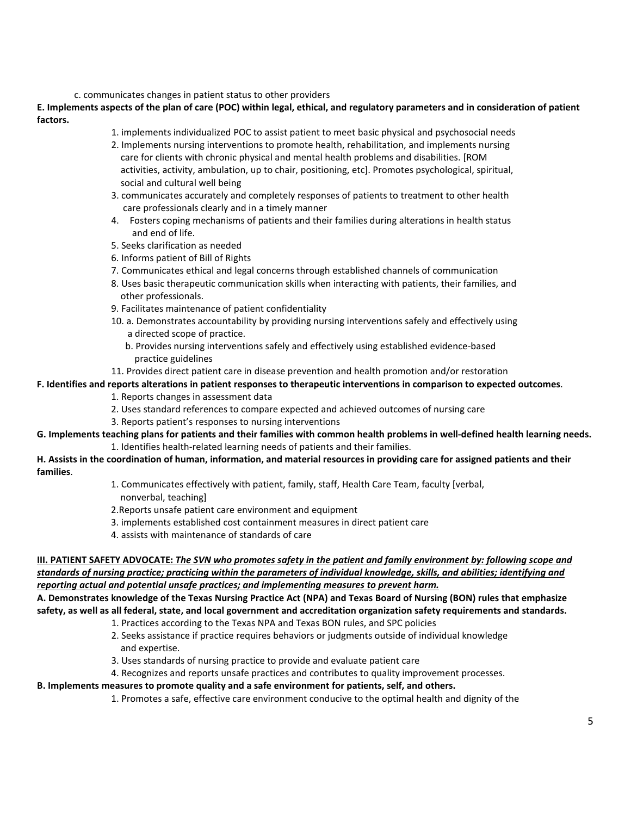#### c. communicates changes in patient status to other providers

**E. Implements aspects of the plan of care (POC) within legal, ethical, and regulatory parameters and in consideration of patient factors.** 

- 1. implements individualized POC to assist patient to meet basic physical and psychosocial needs
- 2. Implements nursing interventions to promote health, rehabilitation, and implements nursing care for clients with chronic physical and mental health problems and disabilities. [ROM activities, activity, ambulation, up to chair, positioning, etc]. Promotes psychological, spiritual, social and cultural well being
- 3. communicates accurately and completely responses of patients to treatment to other health care professionals clearly and in a timely manner
- 4. Fosters coping mechanisms of patients and their families during alterations in health status and end of life.
- 5. Seeks clarification as needed
- 6. Informs patient of Bill of Rights
- 7. Communicates ethical and legal concerns through established channels of communication
- 8. Uses basic therapeutic communication skills when interacting with patients, their families, and other professionals.
- 9. Facilitates maintenance of patient confidentiality
- 10. a. Demonstrates accountability by providing nursing interventions safely and effectively using a directed scope of practice.
	- b. Provides nursing interventions safely and effectively using established evidence-based practice guidelines
- 11. Provides direct patient care in disease prevention and health promotion and/or restoration

#### **F. Identifies and reports alterations in patient responses to therapeutic interventions in comparison to expected outcomes**.

- 1. Reports changes in assessment data
- 2. Uses standard references to compare expected and achieved outcomes of nursing care
- 3. Reports patient's responses to nursing interventions

### **G. Implements teaching plans for patients and their families with common health problems in well-defined health learning needs.** 1. Identifies health-related learning needs of patients and their families.

**H. Assists in the coordination of human, information, and material resources in providing care for assigned patients and their families**.

- 1. Communicates effectively with patient, family, staff, Health Care Team, faculty [verbal, nonverbal, teaching]
- 2.Reports unsafe patient care environment and equipment
- 3. implements established cost containment measures in direct patient care
- 4. assists with maintenance of standards of care

### **III. PATIENT SAFETY ADVOCATE:** *The SVN who promotes safety in the patient and family environment by: following scope and standards of nursing practice; practicing within the parameters of individual knowledge, skills, and abilities; identifying and reporting actual and potential unsafe practices; and implementing measures to prevent harm.*

**A. Demonstrates knowledge of the Texas Nursing Practice Act (NPA) and Texas Board of Nursing (BON) rules that emphasize safety, as well as all federal, state, and local government and accreditation organization safety requirements and standards.**

- 1. Practices according to the Texas NPA and Texas BON rules, and SPC policies
- 2. Seeks assistance if practice requires behaviors or judgments outside of individual knowledge and expertise.
- 3. Uses standards of nursing practice to provide and evaluate patient care
- 4. Recognizes and reports unsafe practices and contributes to quality improvement processes.

### **B. Implements measures to promote quality and a safe environment for patients, self, and others.**

1. Promotes a safe, effective care environment conducive to the optimal health and dignity of the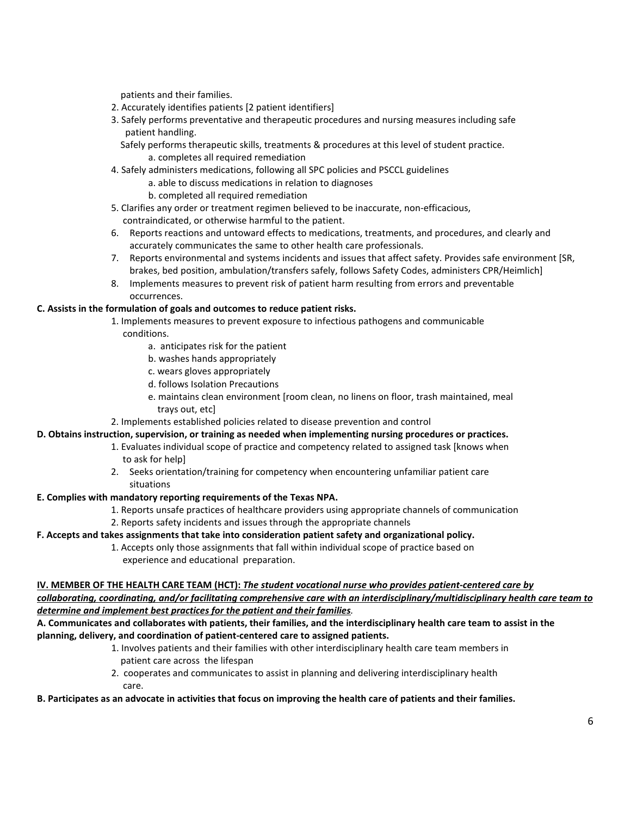patients and their families.

- 2. Accurately identifies patients [2 patient identifiers]
- 3. Safely performs preventative and therapeutic procedures and nursing measures including safe patient handling.

 Safely performs therapeutic skills, treatments & procedures at this level of student practice. a. completes all required remediation

- 4. Safely administers medications, following all SPC policies and PSCCL guidelines
	- a. able to discuss medications in relation to diagnoses
	- b. completed all required remediation
- 5. Clarifies any order or treatment regimen believed to be inaccurate, non-efficacious, contraindicated, or otherwise harmful to the patient.
- 6. Reports reactions and untoward effects to medications, treatments, and procedures, and clearly and accurately communicates the same to other health care professionals.
- 7. Reports environmental and systems incidents and issues that affect safety. Provides safe environment [SR, brakes, bed position, ambulation/transfers safely, follows Safety Codes, administers CPR/Heimlich]
- 8. Implements measures to prevent risk of patient harm resulting from errors and preventable occurrences.

#### **C. Assists in the formulation of goals and outcomes to reduce patient risks.**

- 1. Implements measures to prevent exposure to infectious pathogens and communicable conditions.
	- a. anticipates risk for the patient
	- b. washes hands appropriately
	- c. wears gloves appropriately
	- d. follows Isolation Precautions
	- e. maintains clean environment [room clean, no linens on floor, trash maintained, meal trays out, etc]
- 2. Implements established policies related to disease prevention and control

#### **D. Obtains instruction, supervision, or training as needed when implementing nursing procedures or practices.**

- 1. Evaluates individual scope of practice and competency related to assigned task [knows when to ask for help]
- 2. Seeks orientation/training for competency when encountering unfamiliar patient care situations

#### **E. Complies with mandatory reporting requirements of the Texas NPA.**

- 1. Reports unsafe practices of healthcare providers using appropriate channels of communication
- 2. Reports safety incidents and issues through the appropriate channels

### **F. Accepts and takes assignments that take into consideration patient safety and organizational policy.**

1. Accepts only those assignments that fall within individual scope of practice based on experience and educational preparation.

# **IV. MEMBER OF THE HEALTH CARE TEAM (HCT):** *The student vocational nurse who provides patient-centered care by*

*collaborating, coordinating, and/or facilitating comprehensive care with an interdisciplinary/multidisciplinary health care team to determine and implement best practices for the patient and their families.*

### **A. Communicates and collaborates with patients, their families, and the interdisciplinary health care team to assist in the planning, delivery, and coordination of patient-centered care to assigned patients.**

- 1. Involves patients and their families with other interdisciplinary health care team members in patient care across the lifespan
- 2. cooperates and communicates to assist in planning and delivering interdisciplinary health care.

#### **B. Participates as an advocate in activities that focus on improving the health care of patients and their families.**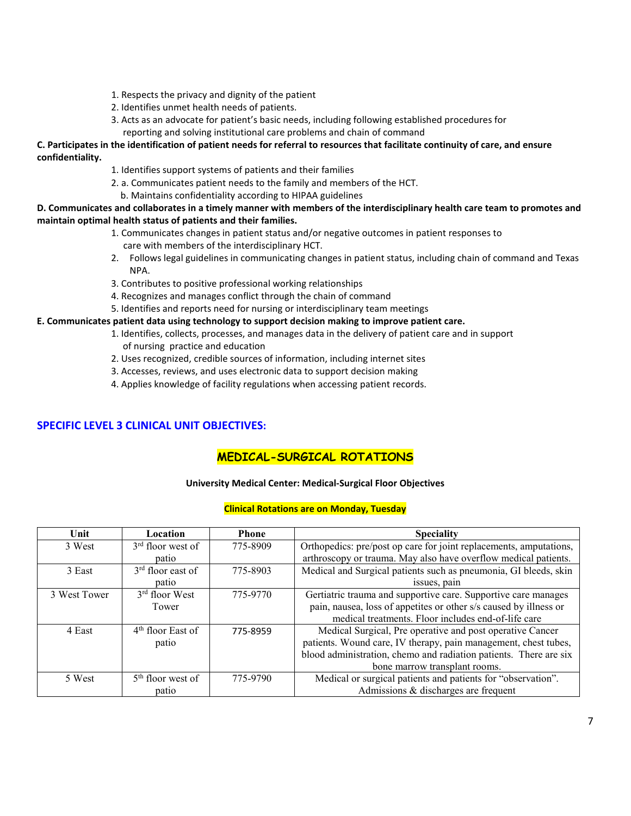- 1. Respects the privacy and dignity of the patient
- 2. Identifies unmet health needs of patients.
- 3. Acts as an advocate for patient's basic needs, including following established procedures for reporting and solving institutional care problems and chain of command

### **C. Participates in the identification of patient needs for referral to resources that facilitate continuity of care, and ensure confidentiality.**

- 1. Identifies support systems of patients and their families
- 2. a. Communicates patient needs to the family and members of the HCT.
	- b. Maintains confidentiality according to HIPAA guidelines

#### **D. Communicates and collaborates in a timely manner with members of the interdisciplinary health care team to promotes and maintain optimal health status of patients and their families.**

- 1. Communicates changes in patient status and/or negative outcomes in patient responses to care with members of the interdisciplinary HCT.
- 2. Follows legal guidelines in communicating changes in patient status, including chain of command and Texas NPA.
- 3. Contributes to positive professional working relationships
- 4. Recognizes and manages conflict through the chain of command
- 5. Identifies and reports need for nursing or interdisciplinary team meetings

#### **E. Communicates patient data using technology to support decision making to improve patient care.**

- 1. Identifies, collects, processes, and manages data in the delivery of patient care and in support of nursing practice and education
- 2. Uses recognized, credible sources of information, including internet sites
- 3. Accesses, reviews, and uses electronic data to support decision making
- 4. Applies knowledge of facility regulations when accessing patient records.

## **SPECIFIC LEVEL 3 CLINICAL UNIT OBJECTIVES:**

## **MEDICAL-SURGICAL ROTATIONS**

#### **University Medical Center: Medical-Surgical Floor Objectives**

#### **Clinical Rotations are on Monday, Tuesday**

| Unit         | Location                      | <b>Phone</b> | <b>Speciality</b>                                                  |  |
|--------------|-------------------------------|--------------|--------------------------------------------------------------------|--|
| 3 West       | $3rd$ floor west of           | 775-8909     | Orthopedics: pre/post op care for joint replacements, amputations, |  |
|              | patio                         |              | arthroscopy or trauma. May also have overflow medical patients.    |  |
| 3 East       | $3rd$ floor east of           | 775-8903     | Medical and Surgical patients such as pneumonia, GI bleeds, skin   |  |
|              | patio                         |              | issues, pain                                                       |  |
| 3 West Tower | $3rd$ floor West              | 775-9770     | Gertiatric trauma and supportive care. Supportive care manages     |  |
|              | Tower                         |              | pain, nausea, loss of appetites or other s/s caused by illness or  |  |
|              |                               |              | medical treatments. Floor includes end-of-life care                |  |
| 4 East       | 4 <sup>th</sup> floor East of | 775-8959     | Medical Surgical, Pre operative and post operative Cancer          |  |
|              | patio                         |              | patients. Wound care, IV therapy, pain management, chest tubes,    |  |
|              |                               |              | blood administration, chemo and radiation patients. There are six  |  |
|              |                               |              | bone marrow transplant rooms.                                      |  |
| 5 West       | $5th$ floor west of           | 775-9790     | Medical or surgical patients and patients for "observation".       |  |
|              | patio                         |              | Admissions & discharges are frequent                               |  |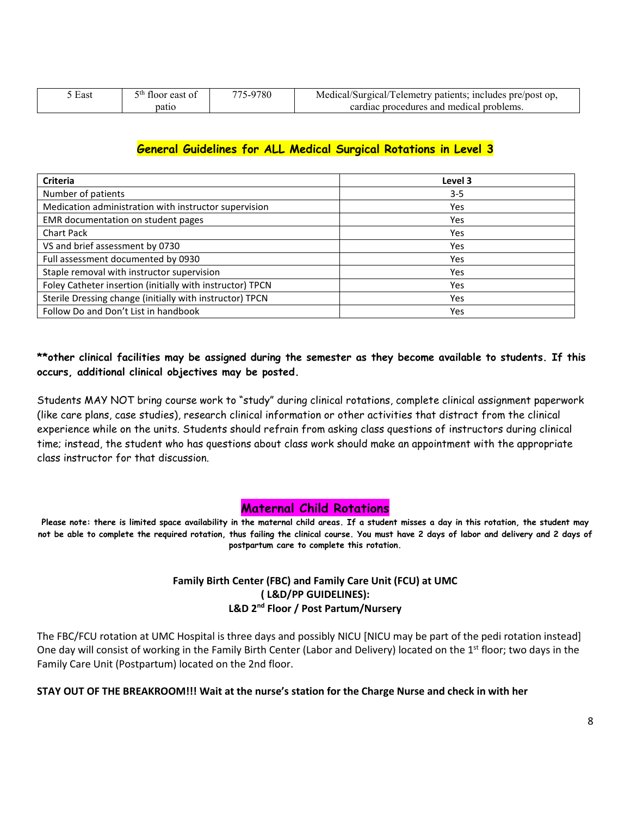| East | floor east of | -9780<br>775.<br>$\sim$ | Medical/Surgical/Telemetry patients; includes pre/post op, |
|------|---------------|-------------------------|------------------------------------------------------------|
|      | patio         |                         | cardiac procedures and medical problems.                   |

## **General Guidelines for ALL Medical Surgical Rotations in Level 3**

| <b>Criteria</b>                                           | Level 3 |
|-----------------------------------------------------------|---------|
| Number of patients                                        | $3 - 5$ |
| Medication administration with instructor supervision     | Yes     |
| EMR documentation on student pages                        | Yes     |
| <b>Chart Pack</b>                                         | Yes     |
| VS and brief assessment by 0730                           | Yes     |
| Full assessment documented by 0930                        | Yes     |
| Staple removal with instructor supervision                | Yes     |
| Foley Catheter insertion (initially with instructor) TPCN | Yes     |
| Sterile Dressing change (initially with instructor) TPCN  | Yes     |
| Follow Do and Don't List in handbook                      | Yes     |

## **\*\*other clinical facilities may be assigned during the semester as they become available to students. If this occurs, additional clinical objectives may be posted.**

Students MAY NOT bring course work to "study" during clinical rotations, complete clinical assignment paperwork (like care plans, case studies), research clinical information or other activities that distract from the clinical experience while on the units. Students should refrain from asking class questions of instructors during clinical time; instead, the student who has questions about class work should make an appointment with the appropriate class instructor for that discussion.

## **Maternal Child Rotations**

**Please note: there is limited space availability in the maternal child areas. If a student misses a day in this rotation, the student may not be able to complete the required rotation, thus failing the clinical course. You must have 2 days of labor and delivery and 2 days of postpartum care to complete this rotation.**

## **Family Birth Center (FBC) and Family Care Unit (FCU) at UMC ( L&D/PP GUIDELINES): L&D 2nd Floor / Post Partum/Nursery**

The FBC/FCU rotation at UMC Hospital is three days and possibly NICU [NICU may be part of the pedi rotation instead] One day will consist of working in the Family Birth Center (Labor and Delivery) located on the  $1<sup>st</sup>$  floor; two days in the Family Care Unit (Postpartum) located on the 2nd floor.

## **STAY OUT OF THE BREAKROOM!!! Wait at the nurse's station for the Charge Nurse and check in with her**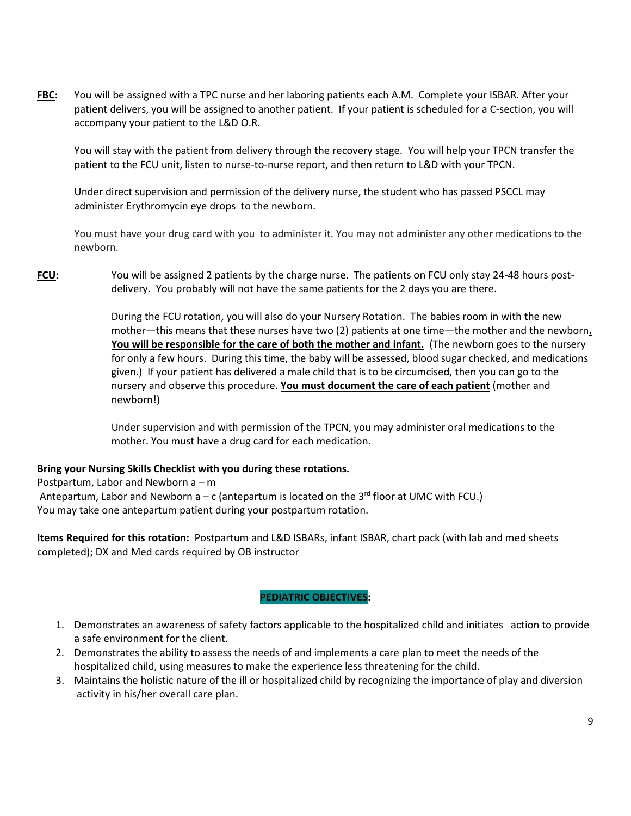**FBC:** You will be assigned with a TPC nurse and her laboring patients each A.M. Complete your ISBAR. After your patient delivers, you will be assigned to another patient. If your patient is scheduled for a C-section, you will accompany your patient to the L&D O.R.

You will stay with the patient from delivery through the recovery stage. You will help your TPCN transfer the patient to the FCU unit, listen to nurse-to-nurse report, and then return to L&D with your TPCN.

Under direct supervision and permission of the delivery nurse, the student who has passed PSCCL may administer Erythromycin eye drops to the newborn.

You must have your drug card with you to administer it. You may not administer any other medications to the newborn.

**FCU:** You will be assigned 2 patients by the charge nurse. The patients on FCU only stay 24-48 hours postdelivery. You probably will not have the same patients for the 2 days you are there.

> During the FCU rotation, you will also do your Nursery Rotation. The babies room in with the new mother—this means that these nurses have two (2) patients at one time—the mother and the newborn**. You will be responsible for the care of both the mother and infant.** (The newborn goes to the nursery for only a few hours. During this time, the baby will be assessed, blood sugar checked, and medications given.) If your patient has delivered a male child that is to be circumcised, then you can go to the nursery and observe this procedure. **You must document the care of each patient** (mother and newborn!)

Under supervision and with permission of the TPCN, you may administer oral medications to the mother. You must have a drug card for each medication.

## **Bring your Nursing Skills Checklist with you during these rotations.**

Postpartum, Labor and Newborn a – m Antepartum, Labor and Newborn  $a - c$  (antepartum is located on the 3<sup>rd</sup> floor at UMC with FCU.) You may take one antepartum patient during your postpartum rotation.

**Items Required for this rotation:** Postpartum and L&D ISBARs, infant ISBAR, chart pack (with lab and med sheets completed); DX and Med cards required by OB instructor

## **PEDIATRIC OBJECTIVES:**

- 1. Demonstrates an awareness of safety factors applicable to the hospitalized child and initiates action to provide a safe environment for the client.
- 2. Demonstrates the ability to assess the needs of and implements a care plan to meet the needs of the hospitalized child, using measures to make the experience less threatening for the child.
- 3. Maintains the holistic nature of the ill or hospitalized child by recognizing the importance of play and diversion activity in his/her overall care plan.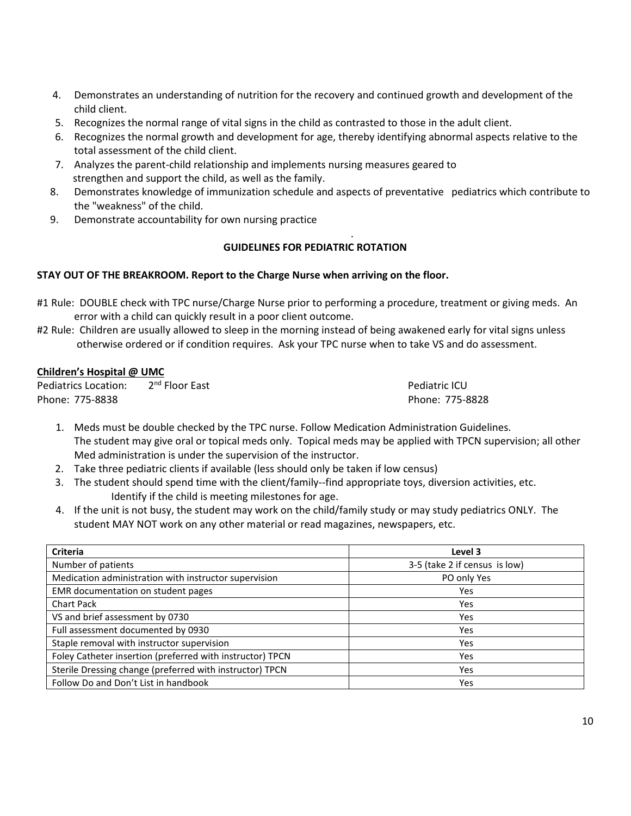- 4. Demonstrates an understanding of nutrition for the recovery and continued growth and development of the child client.
- 5. Recognizes the normal range of vital signs in the child as contrasted to those in the adult client.
- 6. Recognizes the normal growth and development for age, thereby identifying abnormal aspects relative to the total assessment of the child client.
- 7. Analyzes the parent-child relationship and implements nursing measures geared to strengthen and support the child, as well as the family.
- 8. Demonstrates knowledge of immunization schedule and aspects of preventative pediatrics which contribute to the "weakness" of the child.

.

9. Demonstrate accountability for own nursing practice

## **GUIDELINES FOR PEDIATRIC ROTATION**

## **STAY OUT OF THE BREAKROOM. Report to the Charge Nurse when arriving on the floor.**

- #1 Rule: DOUBLE check with TPC nurse/Charge Nurse prior to performing a procedure, treatment or giving meds. An error with a child can quickly result in a poor client outcome.
- #2 Rule: Children are usually allowed to sleep in the morning instead of being awakened early for vital signs unless otherwise ordered or if condition requires. Ask your TPC nurse when to take VS and do assessment.

## **Children's Hospital @ UMC**

Pediatrics Location: 2<sup>nd</sup> Floor East **Pediatric ICU** Phone: 775-8838 Phone: 775-8828

- 1. Meds must be double checked by the TPC nurse. Follow Medication Administration Guidelines. The student may give oral or topical meds only. Topical meds may be applied with TPCN supervision; all other Med administration is under the supervision of the instructor.
- 2. Take three pediatric clients if available (less should only be taken if low census)
- 3. The student should spend time with the client/family--find appropriate toys, diversion activities, etc. Identify if the child is meeting milestones for age.
- 4. If the unit is not busy, the student may work on the child/family study or may study pediatrics ONLY. The student MAY NOT work on any other material or read magazines, newspapers, etc.

| <b>Criteria</b>                                           | Level 3                       |
|-----------------------------------------------------------|-------------------------------|
| Number of patients                                        | 3-5 (take 2 if census is low) |
| Medication administration with instructor supervision     | PO only Yes                   |
| EMR documentation on student pages                        | Yes                           |
| <b>Chart Pack</b>                                         | Yes                           |
| VS and brief assessment by 0730                           | Yes                           |
| Full assessment documented by 0930                        | Yes                           |
| Staple removal with instructor supervision                | Yes                           |
| Foley Catheter insertion (preferred with instructor) TPCN | Yes                           |
| Sterile Dressing change (preferred with instructor) TPCN  | Yes                           |
| Follow Do and Don't List in handbook                      | Yes                           |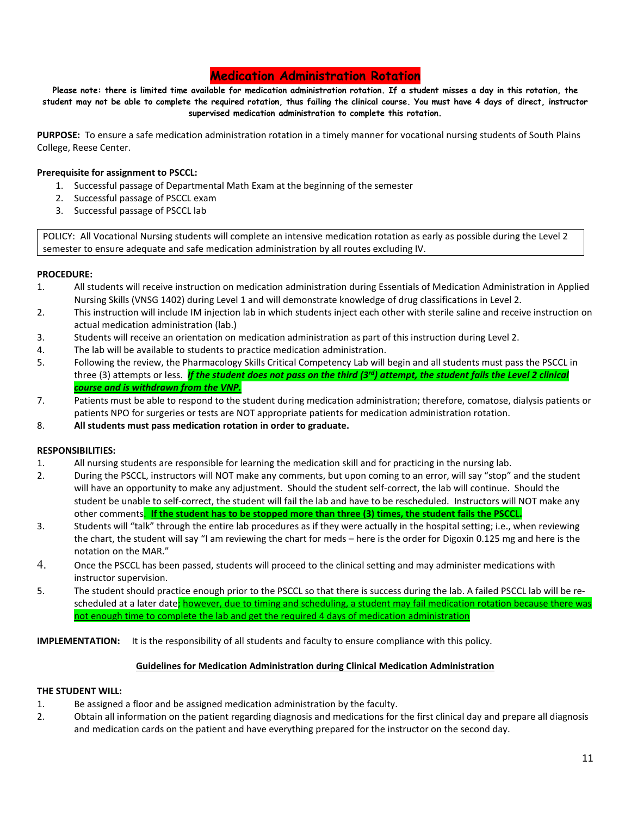## **Medication Administration Rotation**

**Please note: there is limited time available for medication administration rotation. If a student misses a day in this rotation, the student may not be able to complete the required rotation, thus failing the clinical course. You must have 4 days of direct, instructor supervised medication administration to complete this rotation.**

**PURPOSE:** To ensure a safe medication administration rotation in a timely manner for vocational nursing students of South Plains College, Reese Center.

### **Prerequisite for assignment to PSCCL:**

- 1. Successful passage of Departmental Math Exam at the beginning of the semester
- 2. Successful passage of PSCCL exam
- 3. Successful passage of PSCCL lab

POLICY: All Vocational Nursing students will complete an intensive medication rotation as early as possible during the Level 2 semester to ensure adequate and safe medication administration by all routes excluding IV.

#### **PROCEDURE:**

- 1. All students will receive instruction on medication administration during Essentials of Medication Administration in Applied Nursing Skills (VNSG 1402) during Level 1 and will demonstrate knowledge of drug classifications in Level 2.
- 2. This instruction will include IM injection lab in which students inject each other with sterile saline and receive instruction on actual medication administration (lab.)
- 3. Students will receive an orientation on medication administration as part of this instruction during Level 2.
- 4. The lab will be available to students to practice medication administration.
- 5. Following the review, the Pharmacology Skills Critical Competency Lab will begin and all students must pass the PSCCL in three (3) attempts or less. *If the student does not pass on the third (3<sup>rd</sup>) attempt, the student fails the Level 2 clinical course and is withdrawn from the VNP.*
- 7. Patients must be able to respond to the student during medication administration; therefore, comatose, dialysis patients or patients NPO for surgeries or tests are NOT appropriate patients for medication administration rotation.
- 8. **All students must pass medication rotation in order to graduate.**

#### **RESPONSIBILITIES:**

- 1. All nursing students are responsible for learning the medication skill and for practicing in the nursing lab.
- 2. During the PSCCL, instructors will NOT make any comments, but upon coming to an error, will say "stop" and the student will have an opportunity to make any adjustment. Should the student self-correct, the lab will continue. Should the student be unable to self-correct, the student will fail the lab and have to be rescheduled. Instructors will NOT make any other comments. **If the student has to be stopped more than three (3) times, the student fails the PSCCL.**
- 3. Students will "talk" through the entire lab procedures as if they were actually in the hospital setting; i.e., when reviewing the chart, the student will say "I am reviewing the chart for meds – here is the order for Digoxin 0.125 mg and here is the notation on the MAR."
- 4. Once the PSCCL has been passed, students will proceed to the clinical setting and may administer medications with instructor supervision.
- 5. The student should practice enough prior to the PSCCL so that there is success during the lab. A failed PSCCL lab will be rescheduled at a later date; however, due to timing and scheduling, a student may fail medication rotation because there was not enough time to complete the lab and get the required 4 days of medication administration

**IMPLEMENTATION:** It is the responsibility of all students and faculty to ensure compliance with this policy.

#### **Guidelines for Medication Administration during Clinical Medication Administration**

#### **THE STUDENT WILL:**

- 1. Be assigned a floor and be assigned medication administration by the faculty.
- 2. Obtain all information on the patient regarding diagnosis and medications for the first clinical day and prepare all diagnosis and medication cards on the patient and have everything prepared for the instructor on the second day.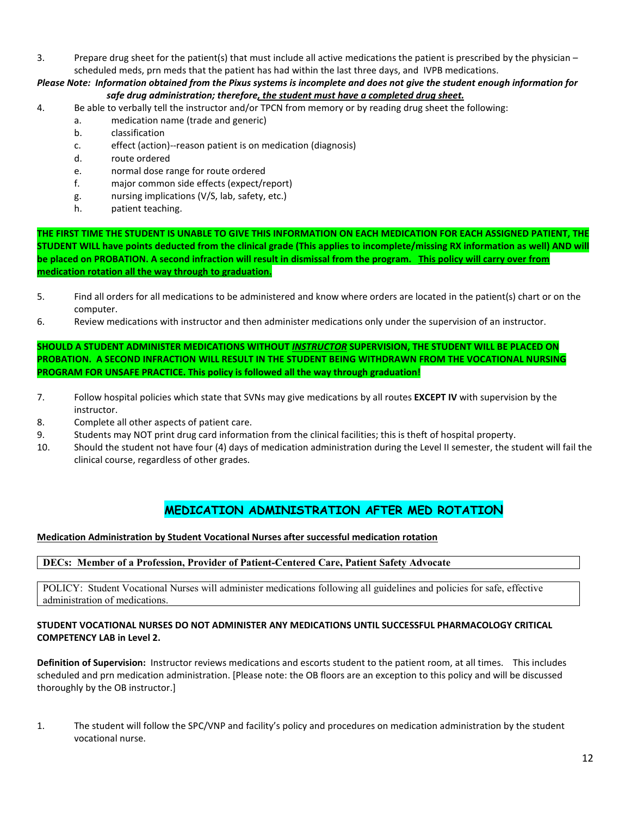3. Prepare drug sheet for the patient(s) that must include all active medications the patient is prescribed by the physician – scheduled meds, prn meds that the patient has had within the last three days, and IVPB medications.

*Please Note: Information obtained from the Pixus systems is incomplete and does not give the student enough information for safe drug administration; therefore, the student must have a completed drug sheet.*

- 4. Be able to verbally tell the instructor and/or TPCN from memory or by reading drug sheet the following:
	- a. medication name (trade and generic)
	- b. classification
	- c. effect (action)--reason patient is on medication (diagnosis)
	- d. route ordered
	- e. normal dose range for route ordered
	- f. major common side effects (expect/report)
	- g. nursing implications (V/S, lab, safety, etc.)
	- h. patient teaching.

**THE FIRST TIME THE STUDENT IS UNABLE TO GIVE THIS INFORMATION ON EACH MEDICATION FOR EACH ASSIGNED PATIENT, THE STUDENT WILL have points deducted from the clinical grade (This applies to incomplete/missing RX information as well) AND will be placed on PROBATION. A second infraction will result in dismissal from the program. This policy will carry over from medication rotation all the way through to graduation.**

- 5. Find all orders for all medications to be administered and know where orders are located in the patient(s) chart or on the computer.
- 6. Review medications with instructor and then administer medications only under the supervision of an instructor.

**SHOULD A STUDENT ADMINISTER MEDICATIONS WITHOUT** *INSTRUCTOR* **SUPERVISION, THE STUDENT WILL BE PLACED ON PROBATION. A SECOND INFRACTION WILL RESULT IN THE STUDENT BEING WITHDRAWN FROM THE VOCATIONAL NURSING PROGRAM FOR UNSAFE PRACTICE. This policy is followed all the way through graduation!**

- 7. Follow hospital policies which state that SVNs may give medications by all routes **EXCEPT IV** with supervision by the instructor.
- 8. Complete all other aspects of patient care.
- 9. Students may NOT print drug card information from the clinical facilities; this is theft of hospital property.
- 10. Should the student not have four (4) days of medication administration during the Level II semester, the student will fail the clinical course, regardless of other grades.

## **MEDICATION ADMINISTRATION AFTER MED ROTATION**

### **Medication Administration by Student Vocational Nurses after successful medication rotation**

### **DECs: Member of a Profession, Provider of Patient-Centered Care, Patient Safety Advocate**

POLICY: Student Vocational Nurses will administer medications following all guidelines and policies for safe, effective administration of medications.

### **STUDENT VOCATIONAL NURSES DO NOT ADMINISTER ANY MEDICATIONS UNTIL SUCCESSFUL PHARMACOLOGY CRITICAL COMPETENCY LAB in Level 2.**

**Definition of Supervision:** Instructor reviews medications and escorts student to the patient room, at all times. This includes scheduled and prn medication administration. [Please note: the OB floors are an exception to this policy and will be discussed thoroughly by the OB instructor.]

1. The student will follow the SPC/VNP and facility's policy and procedures on medication administration by the student vocational nurse.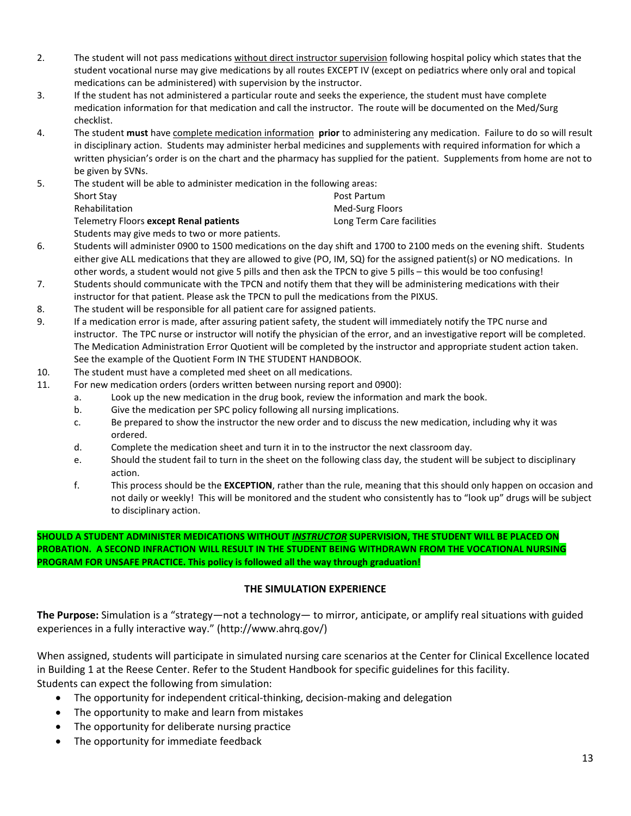- 2. The student will not pass medications without direct instructor supervision following hospital policy which states that the student vocational nurse may give medications by all routes EXCEPT IV (except on pediatrics where only oral and topical medications can be administered) with supervision by the instructor.
- 3. If the student has not administered a particular route and seeks the experience, the student must have complete medication information for that medication and call the instructor. The route will be documented on the Med/Surg checklist.
- 4. The student **must** have complete medication information **prior** to administering any medication. Failure to do so will result in disciplinary action. Students may administer herbal medicines and supplements with required information for which a written physician's order is on the chart and the pharmacy has supplied for the patient. Supplements from home are not to be given by SVNs.

5. The student will be able to administer medication in the following areas: Short Stay Post Partum Rehabilitation Med-Surg Floors Telemetry Floors **except Renal patients** Long Term Care facilities

Students may give meds to two or more patients.

- 6. Students will administer 0900 to 1500 medications on the day shift and 1700 to 2100 meds on the evening shift. Students either give ALL medications that they are allowed to give (PO, IM, SQ) for the assigned patient(s) or NO medications. In other words, a student would not give 5 pills and then ask the TPCN to give 5 pills – this would be too confusing!
- 7. Students should communicate with the TPCN and notify them that they will be administering medications with their instructor for that patient. Please ask the TPCN to pull the medications from the PIXUS.
- 8. The student will be responsible for all patient care for assigned patients.
- 9. If a medication error is made, after assuring patient safety, the student will immediately notify the TPC nurse and instructor. The TPC nurse or instructor will notify the physician of the error, and an investigative report will be completed. The Medication Administration Error Quotient will be completed by the instructor and appropriate student action taken. See the example of the Quotient Form IN THE STUDENT HANDBOOK.
- 10. The student must have a completed med sheet on all medications.
- 11. For new medication orders (orders written between nursing report and 0900):
	- a. Look up the new medication in the drug book, review the information and mark the book.
	- b. Give the medication per SPC policy following all nursing implications.
	- c. Be prepared to show the instructor the new order and to discuss the new medication, including why it was ordered.
	- d. Complete the medication sheet and turn it in to the instructor the next classroom day.
	- e. Should the student fail to turn in the sheet on the following class day, the student will be subject to disciplinary action.
	- f. This process should be the **EXCEPTION**, rather than the rule, meaning that this should only happen on occasion and not daily or weekly! This will be monitored and the student who consistently has to "look up" drugs will be subject to disciplinary action.

**SHOULD A STUDENT ADMINISTER MEDICATIONS WITHOUT** *INSTRUCTOR* **SUPERVISION, THE STUDENT WILL BE PLACED ON PROBATION. A SECOND INFRACTION WILL RESULT IN THE STUDENT BEING WITHDRAWN FROM THE VOCATIONAL NURSING PROGRAM FOR UNSAFE PRACTICE. This policy is followed all the way through graduation!**

## **THE SIMULATION EXPERIENCE**

**The Purpose:** Simulation is a "strategy—not a technology— to mirror, anticipate, or amplify real situations with guided experiences in a fully interactive way." (http://www.ahrq.gov/)

When assigned, students will participate in simulated nursing care scenarios at the Center for Clinical Excellence located in Building 1 at the Reese Center. Refer to the Student Handbook for specific guidelines for this facility. Students can expect the following from simulation:

- The opportunity for independent critical-thinking, decision-making and delegation
- The opportunity to make and learn from mistakes
- The opportunity for deliberate nursing practice
- The opportunity for immediate feedback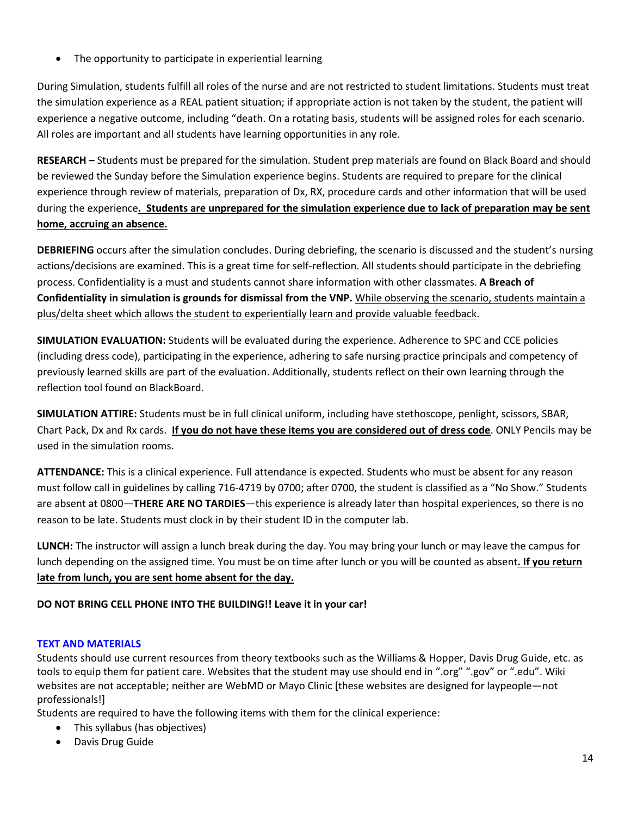• The opportunity to participate in experiential learning

During Simulation, students fulfill all roles of the nurse and are not restricted to student limitations. Students must treat the simulation experience as a REAL patient situation; if appropriate action is not taken by the student, the patient will experience a negative outcome, including "death. On a rotating basis, students will be assigned roles for each scenario. All roles are important and all students have learning opportunities in any role.

**RESEARCH –** Students must be prepared for the simulation. Student prep materials are found on Black Board and should be reviewed the Sunday before the Simulation experience begins. Students are required to prepare for the clinical experience through review of materials, preparation of Dx, RX, procedure cards and other information that will be used during the experience**. Students are unprepared for the simulation experience due to lack of preparation may be sent home, accruing an absence.**

**DEBRIEFING** occurs after the simulation concludes. During debriefing, the scenario is discussed and the student's nursing actions/decisions are examined. This is a great time for self-reflection. All students should participate in the debriefing process. Confidentiality is a must and students cannot share information with other classmates. **A Breach of Confidentiality in simulation is grounds for dismissal from the VNP.** While observing the scenario, students maintain a plus/delta sheet which allows the student to experientially learn and provide valuable feedback.

**SIMULATION EVALUATION:** Students will be evaluated during the experience. Adherence to SPC and CCE policies (including dress code), participating in the experience, adhering to safe nursing practice principals and competency of previously learned skills are part of the evaluation. Additionally, students reflect on their own learning through the reflection tool found on BlackBoard.

**SIMULATION ATTIRE:** Students must be in full clinical uniform, including have stethoscope, penlight, scissors, SBAR, Chart Pack, Dx and Rx cards. **If you do not have these items you are considered out of dress code**. ONLY Pencils may be used in the simulation rooms.

**ATTENDANCE:** This is a clinical experience. Full attendance is expected. Students who must be absent for any reason must follow call in guidelines by calling 716-4719 by 0700; after 0700, the student is classified as a "No Show." Students are absent at 0800—**THERE ARE NO TARDIES**—this experience is already later than hospital experiences, so there is no reason to be late. Students must clock in by their student ID in the computer lab.

**LUNCH:** The instructor will assign a lunch break during the day. You may bring your lunch or may leave the campus for lunch depending on the assigned time. You must be on time after lunch or you will be counted as absent**. If you return late from lunch, you are sent home absent for the day.**

## **DO NOT BRING CELL PHONE INTO THE BUILDING!! Leave it in your car!**

## **TEXT AND MATERIALS**

Students should use current resources from theory textbooks such as the Williams & Hopper, Davis Drug Guide, etc. as tools to equip them for patient care. Websites that the student may use should end in ".org" ".gov" or ".edu". Wiki websites are not acceptable; neither are WebMD or Mayo Clinic [these websites are designed for laypeople—not professionals!]

Students are required to have the following items with them for the clinical experience:

- This syllabus (has objectives)
- Davis Drug Guide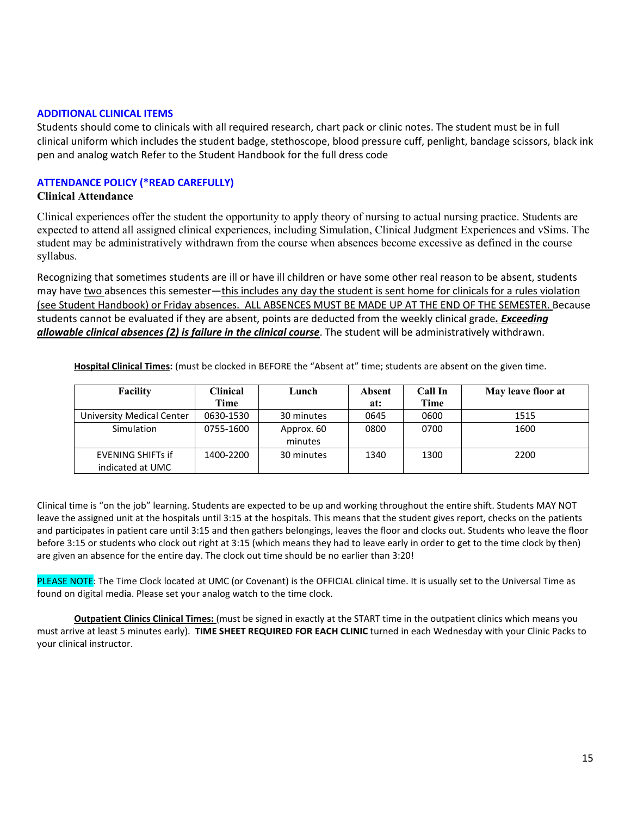### **ADDITIONAL CLINICAL ITEMS**

Students should come to clinicals with all required research, chart pack or clinic notes. The student must be in full clinical uniform which includes the student badge, stethoscope, blood pressure cuff, penlight, bandage scissors, black ink pen and analog watch Refer to the Student Handbook for the full dress code

## **ATTENDANCE POLICY (\*READ CAREFULLY)**

## **Clinical Attendance**

Clinical experiences offer the student the opportunity to apply theory of nursing to actual nursing practice. Students are expected to attend all assigned clinical experiences, including Simulation, Clinical Judgment Experiences and vSims. The student may be administratively withdrawn from the course when absences become excessive as defined in the course syllabus.

Recognizing that sometimes students are ill or have ill children or have some other real reason to be absent, students may have two absences this semester—this includes any day the student is sent home for clinicals for a rules violation (see Student Handbook) or Friday absences. ALL ABSENCES MUST BE MADE UP AT THE END OF THE SEMESTER. Because students cannot be evaluated if they are absent, points are deducted from the weekly clinical grade*. Exceeding allowable clinical absences (2) is failure in the clinical course*. The student will be administratively withdrawn.

| <b>Facility</b>           | Clinical  | Lunch      |      | Call In | May leave floor at |
|---------------------------|-----------|------------|------|---------|--------------------|
|                           | Time      |            | at:  | Time    |                    |
| University Medical Center | 0630-1530 | 30 minutes | 0645 | 0600    | 1515               |
| Simulation                | 0755-1600 | Approx. 60 | 0800 | 0700    | 1600               |
|                           |           | minutes    |      |         |                    |
| <b>EVENING SHIFTS If</b>  | 1400-2200 | 30 minutes | 1340 | 1300    | 2200               |
| indicated at UMC          |           |            |      |         |                    |

**Hospital Clinical Times:** (must be clocked in BEFORE the "Absent at" time; students are absent on the given time.

Clinical time is "on the job" learning. Students are expected to be up and working throughout the entire shift. Students MAY NOT leave the assigned unit at the hospitals until 3:15 at the hospitals. This means that the student gives report, checks on the patients and participates in patient care until 3:15 and then gathers belongings, leaves the floor and clocks out. Students who leave the floor before 3:15 or students who clock out right at 3:15 (which means they had to leave early in order to get to the time clock by then) are given an absence for the entire day. The clock out time should be no earlier than 3:20!

PLEASE NOTE: The Time Clock located at UMC (or Covenant) is the OFFICIAL clinical time. It is usually set to the Universal Time as found on digital media. Please set your analog watch to the time clock.

**Outpatient Clinics Clinical Times:** (must be signed in exactly at the START time in the outpatient clinics which means you must arrive at least 5 minutes early). **TIME SHEET REQUIRED FOR EACH CLINIC** turned in each Wednesday with your Clinic Packs to your clinical instructor.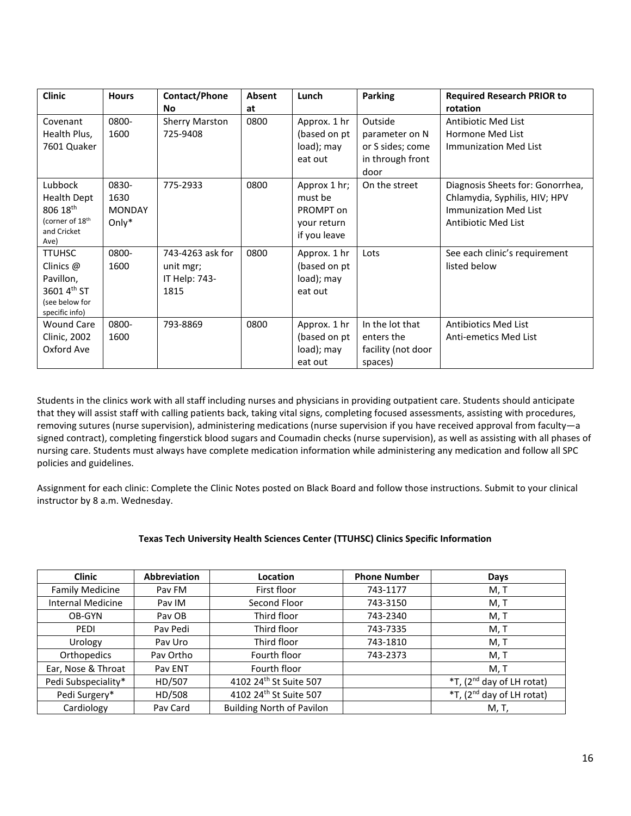| <b>Clinic</b>                                                                                   | <b>Hours</b>                            | Contact/Phone<br>No                                    | Absent<br>at | Lunch                                                               | <b>Parking</b>                                                            | <b>Required Research PRIOR to</b><br>rotation                                                                                   |
|-------------------------------------------------------------------------------------------------|-----------------------------------------|--------------------------------------------------------|--------------|---------------------------------------------------------------------|---------------------------------------------------------------------------|---------------------------------------------------------------------------------------------------------------------------------|
| Covenant<br>Health Plus,<br>7601 Quaker                                                         | 0800-<br>1600                           | <b>Sherry Marston</b><br>725-9408                      | 0800         | Approx. 1 hr<br>(based on pt<br>load); may<br>eat out               | Outside<br>parameter on N<br>or S sides; come<br>in through front<br>door | <b>Antibiotic Med List</b><br>Hormone Med List<br>Immunization Med List                                                         |
| Lubbock<br><b>Health Dept</b><br>806 18th<br>(corner of 18 <sup>th</sup><br>and Cricket<br>Ave) | 0830-<br>1630<br><b>MONDAY</b><br>Only* | 775-2933                                               | 0800         | Approx 1 hr;<br>must be<br>PROMPT on<br>your return<br>if you leave | On the street                                                             | Diagnosis Sheets for: Gonorrhea,<br>Chlamydia, Syphilis, HIV; HPV<br><b>Immunization Med List</b><br><b>Antibiotic Med List</b> |
| <b>TTUHSC</b><br>Clinics @<br>Pavillon,<br>3601 4th ST<br>(see below for<br>specific info)      | 0800-<br>1600                           | 743-4263 ask for<br>unit mgr;<br>IT Help: 743-<br>1815 | 0800         | Approx. 1 hr<br>(based on pt<br>load); may<br>eat out               | Lots                                                                      | See each clinic's requirement<br>listed below                                                                                   |
| <b>Wound Care</b><br><b>Clinic, 2002</b><br>Oxford Ave                                          | 0800-<br>1600                           | 793-8869                                               | 0800         | Approx. 1 hr<br>(based on pt<br>load); may<br>eat out               | In the lot that<br>enters the<br>facility (not door<br>spaces)            | <b>Antibiotics Med List</b><br>Anti-emetics Med List                                                                            |

Students in the clinics work with all staff including nurses and physicians in providing outpatient care. Students should anticipate that they will assist staff with calling patients back, taking vital signs, completing focused assessments, assisting with procedures, removing sutures (nurse supervision), administering medications (nurse supervision if you have received approval from faculty—a signed contract), completing fingerstick blood sugars and Coumadin checks (nurse supervision), as well as assisting with all phases of nursing care. Students must always have complete medication information while administering any medication and follow all SPC policies and guidelines.

Assignment for each clinic: Complete the Clinic Notes posted on Black Board and follow those instructions. Submit to your clinical instructor by 8 a.m. Wednesday.

### **Texas Tech University Health Sciences Center (TTUHSC) Clinics Specific Information**

| <b>Clinic</b>            | <b>Abbreviation</b> | Location                           | <b>Phone Number</b> | Days                                  |
|--------------------------|---------------------|------------------------------------|---------------------|---------------------------------------|
| <b>Family Medicine</b>   | Pav FM              | First floor                        | 743-1177            | M, T                                  |
| <b>Internal Medicine</b> | Pay IM              | Second Floor                       | 743-3150            | M, T                                  |
| OB-GYN                   | Pay OB              | Third floor                        | 743-2340            | M, T                                  |
| PEDI                     | Pav Pedi            | Third floor                        | 743-7335            | M, T                                  |
| Urology                  | Pay Uro             | Third floor                        | 743-1810            | M, T                                  |
| Orthopedics              | Pay Ortho           | Fourth floor                       | 743-2373            | M, T                                  |
| Ear, Nose & Throat       | Pav ENT             | Fourth floor                       |                     | M, T                                  |
| Pedi Subspeciality*      | HD/507              | 4102 24th St Suite 507             |                     | *T, (2 <sup>nd</sup> day of LH rotat) |
| Pedi Surgery*            | HD/508              | 4102 24 <sup>th</sup> St Suite 507 |                     | *T, (2 <sup>nd</sup> day of LH rotat) |
| Cardiology               | Pay Card            | <b>Building North of Pavilon</b>   |                     | M, T,                                 |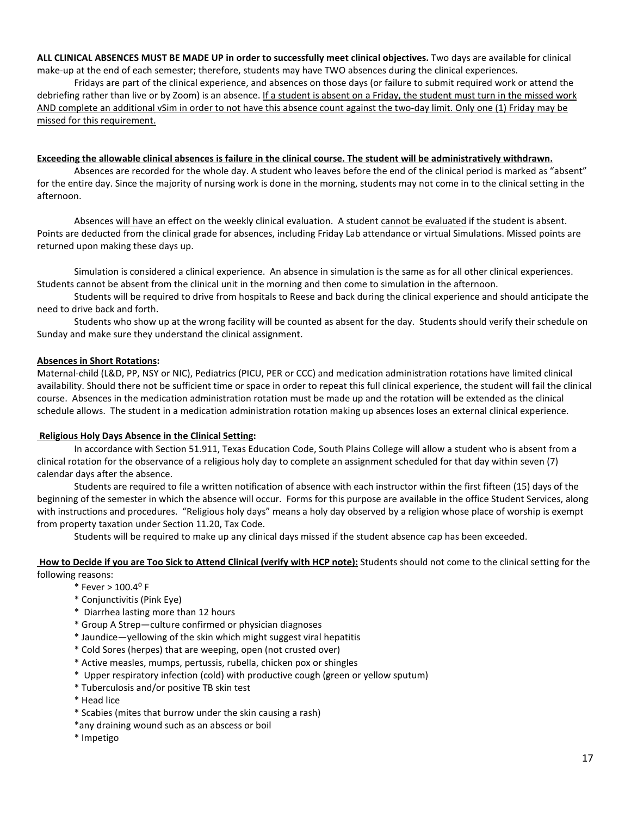**ALL CLINICAL ABSENCES MUST BE MADE UP in order to successfully meet clinical objectives.** Two days are available for clinical make-up at the end of each semester; therefore, students may have TWO absences during the clinical experiences.

Fridays are part of the clinical experience, and absences on those days (or failure to submit required work or attend the debriefing rather than live or by Zoom) is an absence. If a student is absent on a Friday, the student must turn in the missed work AND complete an additional vSim in order to not have this absence count against the two-day limit. Only one (1) Friday may be missed for this requirement.

#### **Exceeding the allowable clinical absences is failure in the clinical course. The student will be administratively withdrawn.**

Absences are recorded for the whole day. A student who leaves before the end of the clinical period is marked as "absent" for the entire day. Since the majority of nursing work is done in the morning, students may not come in to the clinical setting in the afternoon.

Absences will have an effect on the weekly clinical evaluation. A student cannot be evaluated if the student is absent. Points are deducted from the clinical grade for absences, including Friday Lab attendance or virtual Simulations. Missed points are returned upon making these days up.

Simulation is considered a clinical experience. An absence in simulation is the same as for all other clinical experiences. Students cannot be absent from the clinical unit in the morning and then come to simulation in the afternoon.

Students will be required to drive from hospitals to Reese and back during the clinical experience and should anticipate the need to drive back and forth.

Students who show up at the wrong facility will be counted as absent for the day. Students should verify their schedule on Sunday and make sure they understand the clinical assignment.

#### **Absences in Short Rotations:**

Maternal-child (L&D, PP, NSY or NIC), Pediatrics (PICU, PER or CCC) and medication administration rotations have limited clinical availability. Should there not be sufficient time or space in order to repeat this full clinical experience, the student will fail the clinical course. Absences in the medication administration rotation must be made up and the rotation will be extended as the clinical schedule allows. The student in a medication administration rotation making up absences loses an external clinical experience.

### **Religious Holy Days Absence in the Clinical Setting:**

In accordance with Section 51.911, Texas Education Code, South Plains College will allow a student who is absent from a clinical rotation for the observance of a religious holy day to complete an assignment scheduled for that day within seven (7) calendar days after the absence.

Students are required to file a written notification of absence with each instructor within the first fifteen (15) days of the beginning of the semester in which the absence will occur. Forms for this purpose are available in the office Student Services, along with instructions and procedures. "Religious holy days" means a holy day observed by a religion whose place of worship is exempt from property taxation under Section 11.20, Tax Code.

Students will be required to make up any clinical days missed if the student absence cap has been exceeded.

**How to Decide if you are Too Sick to Attend Clinical (verify with HCP note):** Students should not come to the clinical setting for the following reasons:

- $*$  Fever  $> 100.4$ <sup>o</sup> F
- \* Conjunctivitis (Pink Eye)
- \* Diarrhea lasting more than 12 hours
- \* Group A Strep—culture confirmed or physician diagnoses
- \* Jaundice—yellowing of the skin which might suggest viral hepatitis
- \* Cold Sores (herpes) that are weeping, open (not crusted over)
- \* Active measles, mumps, pertussis, rubella, chicken pox or shingles
- \* Upper respiratory infection (cold) with productive cough (green or yellow sputum)
- \* Tuberculosis and/or positive TB skin test
- \* Head lice
- \* Scabies (mites that burrow under the skin causing a rash)
- \*any draining wound such as an abscess or boil
- \* Impetigo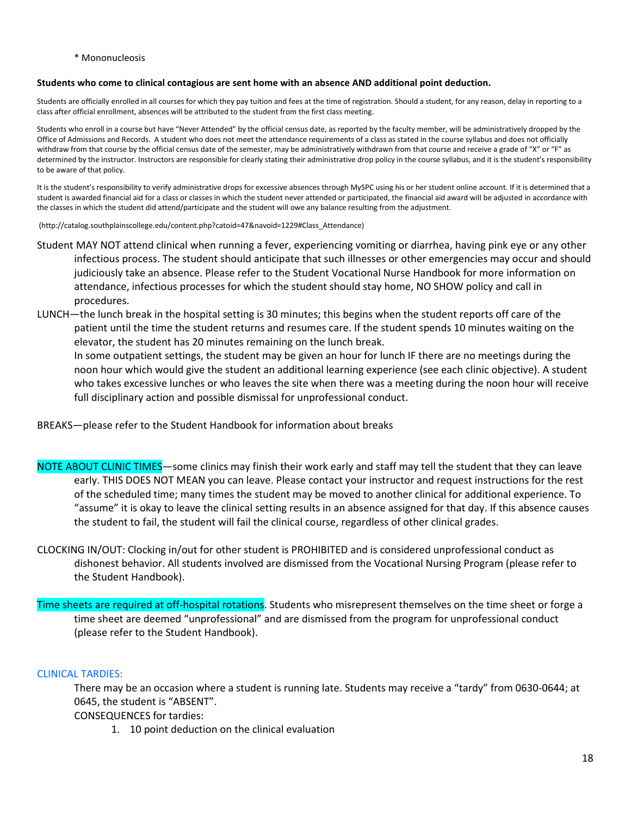\* Mononucleosis

#### **Students who come to clinical contagious are sent home with an absence AND additional point deduction.**

Students are officially enrolled in all courses for which they pay tuition and fees at the time of registration. Should a student, for any reason, delay in reporting to a class after official enrollment, absences will be attributed to the student from the first class meeting.

Students who enroll in a course but have "Never Attended" by the official census date, as reported by the faculty member, will be administratively dropped by the Office of Admissions and Records. A student who does not meet the attendance requirements of a class as stated in the course syllabus and does not officially withdraw from that course by the official census date of the semester, may be administratively withdrawn from that course and receive a grade of "X" or "F" as determined by the instructor. Instructors are responsible for clearly stating their administrative drop policy in the course syllabus, and it is the student's responsibility to be aware of that policy.

It is the student's responsibility to verify administrative drops for excessive absences through MySPC using his or her student online account. If it is determined that a student is awarded financial aid for a class or classes in which the student never attended or participated, the financial aid award will be adjusted in accordance with the classes in which the student did attend/participate and the student will owe any balance resulting from the adjustment.

(http://catalog.southplainscollege.edu/content.php?catoid=47&navoid=1229#Class\_Attendance)

- Student MAY NOT attend clinical when running a fever, experiencing vomiting or diarrhea, having pink eye or any other infectious process. The student should anticipate that such illnesses or other emergencies may occur and should judiciously take an absence. Please refer to the Student Vocational Nurse Handbook for more information on attendance, infectious processes for which the student should stay home, NO SHOW policy and call in procedures.
- LUNCH—the lunch break in the hospital setting is 30 minutes; this begins when the student reports off care of the patient until the time the student returns and resumes care. If the student spends 10 minutes waiting on the elevator, the student has 20 minutes remaining on the lunch break.

In some outpatient settings, the student may be given an hour for lunch IF there are no meetings during the noon hour which would give the student an additional learning experience (see each clinic objective). A student who takes excessive lunches or who leaves the site when there was a meeting during the noon hour will receive full disciplinary action and possible dismissal for unprofessional conduct.

BREAKS—please refer to the Student Handbook for information about breaks

- NOTE ABOUT CLINIC TIMES—some clinics may finish their work early and staff may tell the student that they can leave early. THIS DOES NOT MEAN you can leave. Please contact your instructor and request instructions for the rest of the scheduled time; many times the student may be moved to another clinical for additional experience. To "assume" it is okay to leave the clinical setting results in an absence assigned for that day. If this absence causes the student to fail, the student will fail the clinical course, regardless of other clinical grades.
- CLOCKING IN/OUT: Clocking in/out for other student is PROHIBITED and is considered unprofessional conduct as dishonest behavior. All students involved are dismissed from the Vocational Nursing Program (please refer to the Student Handbook).
- Time sheets are required at off-hospital rotations. Students who misrepresent themselves on the time sheet or forge a time sheet are deemed "unprofessional" and are dismissed from the program for unprofessional conduct (please refer to the Student Handbook).

### CLINICAL TARDIES:

There may be an occasion where a student is running late. Students may receive a "tardy" from 0630-0644; at 0645, the student is "ABSENT".

CONSEQUENCES for tardies:

1. 10 point deduction on the clinical evaluation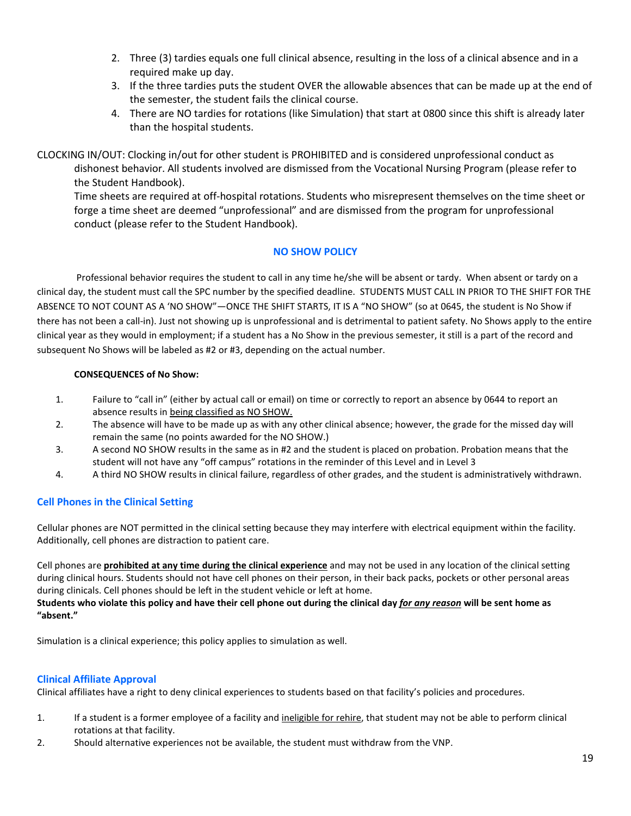- 2. Three (3) tardies equals one full clinical absence, resulting in the loss of a clinical absence and in a required make up day.
- 3. If the three tardies puts the student OVER the allowable absences that can be made up at the end of the semester, the student fails the clinical course.
- 4. There are NO tardies for rotations (like Simulation) that start at 0800 since this shift is already later than the hospital students.

CLOCKING IN/OUT: Clocking in/out for other student is PROHIBITED and is considered unprofessional conduct as dishonest behavior. All students involved are dismissed from the Vocational Nursing Program (please refer to the Student Handbook).

Time sheets are required at off-hospital rotations. Students who misrepresent themselves on the time sheet or forge a time sheet are deemed "unprofessional" and are dismissed from the program for unprofessional conduct (please refer to the Student Handbook).

## **NO SHOW POLICY**

Professional behavior requires the student to call in any time he/she will be absent or tardy. When absent or tardy on a clinical day, the student must call the SPC number by the specified deadline. STUDENTS MUST CALL IN PRIOR TO THE SHIFT FOR THE ABSENCE TO NOT COUNT AS A 'NO SHOW"—ONCE THE SHIFT STARTS, IT IS A "NO SHOW" (so at 0645, the student is No Show if there has not been a call-in). Just not showing up is unprofessional and is detrimental to patient safety. No Shows apply to the entire clinical year as they would in employment; if a student has a No Show in the previous semester, it still is a part of the record and subsequent No Shows will be labeled as #2 or #3, depending on the actual number.

## **CONSEQUENCES of No Show:**

- 1. Failure to "call in" (either by actual call or email) on time or correctly to report an absence by 0644 to report an absence results in being classified as NO SHOW.
- 2. The absence will have to be made up as with any other clinical absence; however, the grade for the missed day will remain the same (no points awarded for the NO SHOW.)
- 3. A second NO SHOW results in the same as in #2 and the student is placed on probation. Probation means that the student will not have any "off campus" rotations in the reminder of this Level and in Level 3
- 4. A third NO SHOW results in clinical failure, regardless of other grades, and the student is administratively withdrawn.

## **Cell Phones in the Clinical Setting**

Cellular phones are NOT permitted in the clinical setting because they may interfere with electrical equipment within the facility. Additionally, cell phones are distraction to patient care.

Cell phones are **prohibited at any time during the clinical experience** and may not be used in any location of the clinical setting during clinical hours. Students should not have cell phones on their person, in their back packs, pockets or other personal areas during clinicals. Cell phones should be left in the student vehicle or left at home.

## **Students who violate this policy and have their cell phone out during the clinical day** *for any reason* **will be sent home as "absent."**

Simulation is a clinical experience; this policy applies to simulation as well.

## **Clinical Affiliate Approval**

Clinical affiliates have a right to deny clinical experiences to students based on that facility's policies and procedures.

- 1. If a student is a former employee of a facility and ineligible for rehire, that student may not be able to perform clinical rotations at that facility.
- 2. Should alternative experiences not be available, the student must withdraw from the VNP.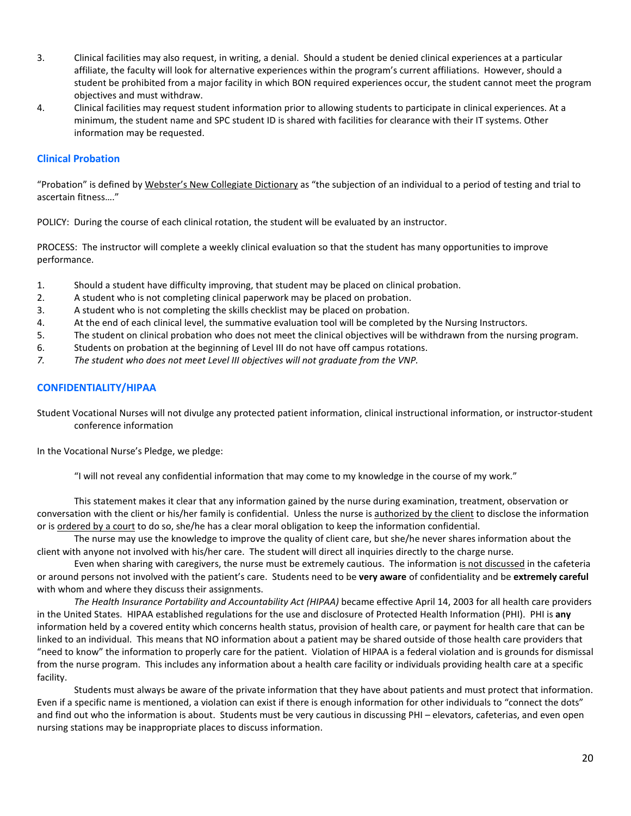- 3. Clinical facilities may also request, in writing, a denial. Should a student be denied clinical experiences at a particular affiliate, the faculty will look for alternative experiences within the program's current affiliations. However, should a student be prohibited from a major facility in which BON required experiences occur, the student cannot meet the program objectives and must withdraw.
- 4. Clinical facilities may request student information prior to allowing students to participate in clinical experiences. At a minimum, the student name and SPC student ID is shared with facilities for clearance with their IT systems. Other information may be requested.

### **Clinical Probation**

"Probation" is defined by Webster's New Collegiate Dictionary as "the subjection of an individual to a period of testing and trial to ascertain fitness…."

POLICY: During the course of each clinical rotation, the student will be evaluated by an instructor.

PROCESS: The instructor will complete a weekly clinical evaluation so that the student has many opportunities to improve performance.

- 1. Should a student have difficulty improving, that student may be placed on clinical probation.
- 2. A student who is not completing clinical paperwork may be placed on probation.
- 3. A student who is not completing the skills checklist may be placed on probation.
- 4. At the end of each clinical level, the summative evaluation tool will be completed by the Nursing Instructors.
- 5. The student on clinical probation who does not meet the clinical objectives will be withdrawn from the nursing program.
- 6. Students on probation at the beginning of Level III do not have off campus rotations.
- *7. The student who does not meet Level III objectives will not graduate from the VNP.*

### **CONFIDENTIALITY/HIPAA**

Student Vocational Nurses will not divulge any protected patient information, clinical instructional information, or instructor-student conference information

In the Vocational Nurse's Pledge, we pledge:

"I will not reveal any confidential information that may come to my knowledge in the course of my work."

This statement makes it clear that any information gained by the nurse during examination, treatment, observation or conversation with the client or his/her family is confidential. Unless the nurse is authorized by the client to disclose the information or is ordered by a court to do so, she/he has a clear moral obligation to keep the information confidential.

The nurse may use the knowledge to improve the quality of client care, but she/he never shares information about the client with anyone not involved with his/her care. The student will direct all inquiries directly to the charge nurse.

Even when sharing with caregivers, the nurse must be extremely cautious. The information is not discussed in the cafeteria or around persons not involved with the patient's care. Students need to be **very aware** of confidentiality and be **extremely careful** with whom and where they discuss their assignments.

*The Health Insurance Portability and Accountability Act (HIPAA)* became effective April 14, 2003 for all health care providers in the United States. HIPAA established regulations for the use and disclosure of Protected Health Information (PHI). PHI is **any** information held by a covered entity which concerns health status, provision of health care, or payment for health care that can be linked to an individual. This means that NO information about a patient may be shared outside of those health care providers that "need to know" the information to properly care for the patient. Violation of HIPAA is a federal violation and is grounds for dismissal from the nurse program. This includes any information about a health care facility or individuals providing health care at a specific facility.

Students must always be aware of the private information that they have about patients and must protect that information. Even if a specific name is mentioned, a violation can exist if there is enough information for other individuals to "connect the dots" and find out who the information is about. Students must be very cautious in discussing PHI – elevators, cafeterias, and even open nursing stations may be inappropriate places to discuss information.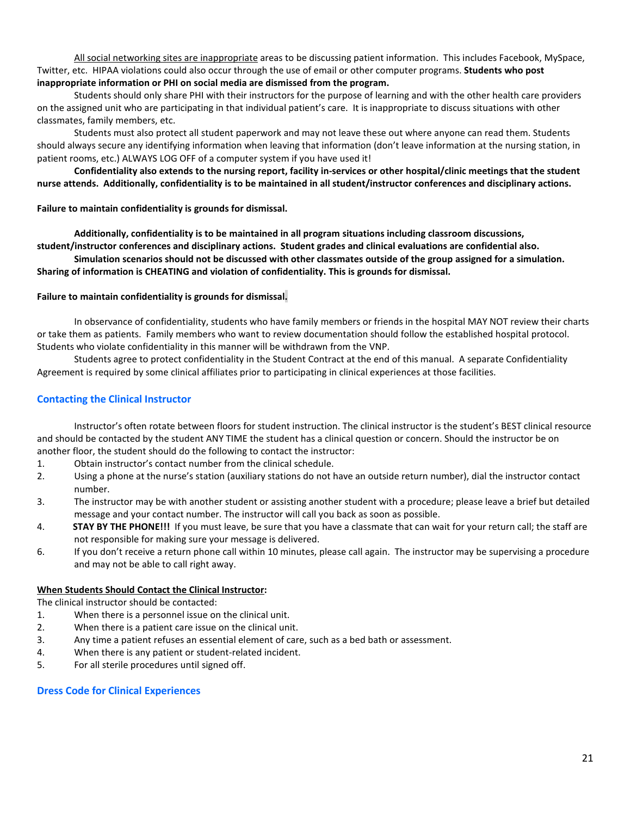All social networking sites are inappropriate areas to be discussing patient information. This includes Facebook, MySpace, Twitter, etc. HIPAA violations could also occur through the use of email or other computer programs. **Students who post inappropriate information or PHI on social media are dismissed from the program.** 

Students should only share PHI with their instructors for the purpose of learning and with the other health care providers on the assigned unit who are participating in that individual patient's care. It is inappropriate to discuss situations with other classmates, family members, etc.

Students must also protect all student paperwork and may not leave these out where anyone can read them. Students should always secure any identifying information when leaving that information (don't leave information at the nursing station, in patient rooms, etc.) ALWAYS LOG OFF of a computer system if you have used it!

**Confidentiality also extends to the nursing report, facility in-services or other hospital/clinic meetings that the student nurse attends. Additionally, confidentiality is to be maintained in all student/instructor conferences and disciplinary actions.**

### **Failure to maintain confidentiality is grounds for dismissal.**

**Additionally, confidentiality is to be maintained in all program situations including classroom discussions, student/instructor conferences and disciplinary actions. Student grades and clinical evaluations are confidential also.**

**Simulation scenarios should not be discussed with other classmates outside of the group assigned for a simulation. Sharing of information is CHEATING and violation of confidentiality. This is grounds for dismissal.**

#### **Failure to maintain confidentiality is grounds for dismissal.**

In observance of confidentiality, students who have family members or friends in the hospital MAY NOT review their charts or take them as patients. Family members who want to review documentation should follow the established hospital protocol. Students who violate confidentiality in this manner will be withdrawn from the VNP.

Students agree to protect confidentiality in the Student Contract at the end of this manual. A separate Confidentiality Agreement is required by some clinical affiliates prior to participating in clinical experiences at those facilities.

## **Contacting the Clinical Instructor**

Instructor's often rotate between floors for student instruction. The clinical instructor is the student's BEST clinical resource and should be contacted by the student ANY TIME the student has a clinical question or concern. Should the instructor be on another floor, the student should do the following to contact the instructor:

- 1. Obtain instructor's contact number from the clinical schedule.
- 2. Using a phone at the nurse's station (auxiliary stations do not have an outside return number), dial the instructor contact number.
- 3. The instructor may be with another student or assisting another student with a procedure; please leave a brief but detailed message and your contact number. The instructor will call you back as soon as possible.
- 4. **STAY BY THE PHONE!!!** If you must leave, be sure that you have a classmate that can wait for your return call; the staff are not responsible for making sure your message is delivered.
- 6. If you don't receive a return phone call within 10 minutes, please call again. The instructor may be supervising a procedure and may not be able to call right away.

### **When Students Should Contact the Clinical Instructor:**

The clinical instructor should be contacted:

- 1. When there is a personnel issue on the clinical unit.
- 2. When there is a patient care issue on the clinical unit.
- 3. Any time a patient refuses an essential element of care, such as a bed bath or assessment.
- 4. When there is any patient or student-related incident.
- 5. For all sterile procedures until signed off.

### **Dress Code for Clinical Experiences**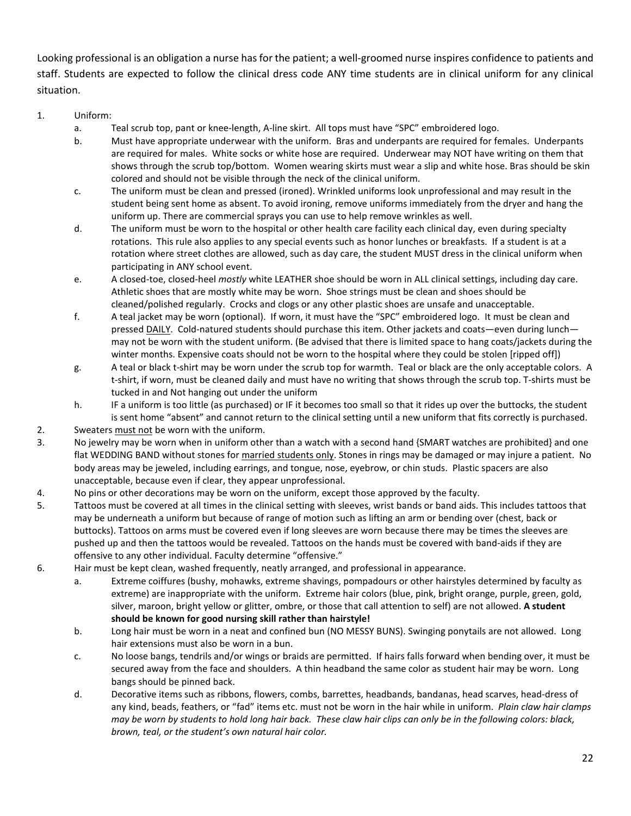Looking professional is an obligation a nurse has for the patient; a well-groomed nurse inspires confidence to patients and staff. Students are expected to follow the clinical dress code ANY time students are in clinical uniform for any clinical situation.

## 1. Uniform:

- a. Teal scrub top, pant or knee-length, A-line skirt. All tops must have "SPC" embroidered logo.
- b. Must have appropriate underwear with the uniform. Bras and underpants are required for females. Underpants are required for males. White socks or white hose are required. Underwear may NOT have writing on them that shows through the scrub top/bottom. Women wearing skirts must wear a slip and white hose. Bras should be skin colored and should not be visible through the neck of the clinical uniform.
- c. The uniform must be clean and pressed (ironed). Wrinkled uniforms look unprofessional and may result in the student being sent home as absent. To avoid ironing, remove uniforms immediately from the dryer and hang the uniform up. There are commercial sprays you can use to help remove wrinkles as well.
- d. The uniform must be worn to the hospital or other health care facility each clinical day, even during specialty rotations. This rule also applies to any special events such as honor lunches or breakfasts. If a student is at a rotation where street clothes are allowed, such as day care, the student MUST dress in the clinical uniform when participating in ANY school event.
- e. A closed-toe, closed-heel *mostly* white LEATHER shoe should be worn in ALL clinical settings, including day care. Athletic shoes that are mostly white may be worn. Shoe strings must be clean and shoes should be cleaned/polished regularly. Crocks and clogs or any other plastic shoes are unsafe and unacceptable.
- f. A teal jacket may be worn (optional). If worn, it must have the "SPC" embroidered logo. It must be clean and pressed DAILY. Cold-natured students should purchase this item. Other jackets and coats—even during lunch may not be worn with the student uniform. (Be advised that there is limited space to hang coats/jackets during the winter months. Expensive coats should not be worn to the hospital where they could be stolen [ripped off])
- g. A teal or black t-shirt may be worn under the scrub top for warmth. Teal or black are the only acceptable colors. A t-shirt, if worn, must be cleaned daily and must have no writing that shows through the scrub top. T-shirts must be tucked in and Not hanging out under the uniform
- h. IF a uniform is too little (as purchased) or IF it becomes too small so that it rides up over the buttocks, the student is sent home "absent" and cannot return to the clinical setting until a new uniform that fits correctly is purchased.
- 2. Sweaters must not be worn with the uniform.
- 3. No jewelry may be worn when in uniform other than a watch with a second hand {SMART watches are prohibited} and one flat WEDDING BAND without stones for married students only. Stones in rings may be damaged or may injure a patient. No body areas may be jeweled, including earrings, and tongue, nose, eyebrow, or chin studs. Plastic spacers are also unacceptable, because even if clear, they appear unprofessional.
- 4. No pins or other decorations may be worn on the uniform, except those approved by the faculty.
- 5. Tattoos must be covered at all times in the clinical setting with sleeves, wrist bands or band aids. This includes tattoos that may be underneath a uniform but because of range of motion such as lifting an arm or bending over (chest, back or buttocks). Tattoos on arms must be covered even if long sleeves are worn because there may be times the sleeves are pushed up and then the tattoos would be revealed. Tattoos on the hands must be covered with band-aids if they are offensive to any other individual. Faculty determine "offensive."
- 6. Hair must be kept clean, washed frequently, neatly arranged, and professional in appearance.
	- a. Extreme coiffures (bushy, mohawks, extreme shavings, pompadours or other hairstyles determined by faculty as extreme) are inappropriate with the uniform. Extreme hair colors (blue, pink, bright orange, purple, green, gold, silver, maroon, bright yellow or glitter, ombre, or those that call attention to self) are not allowed. **A student should be known for good nursing skill rather than hairstyle!**
	- b. Long hair must be worn in a neat and confined bun (NO MESSY BUNS). Swinging ponytails are not allowed. Long hair extensions must also be worn in a bun.
	- c. No loose bangs, tendrils and/or wings or braids are permitted. If hairs falls forward when bending over, it must be secured away from the face and shoulders. A thin headband the same color as student hair may be worn. Long bangs should be pinned back.
	- d. Decorative items such as ribbons, flowers, combs, barrettes, headbands, bandanas, head scarves, head-dress of any kind, beads, feathers, or "fad" items etc. must not be worn in the hair while in uniform. *Plain claw hair clamps may be worn by students to hold long hair back. These claw hair clips can only be in the following colors: black, brown, teal, or the student's own natural hair color.*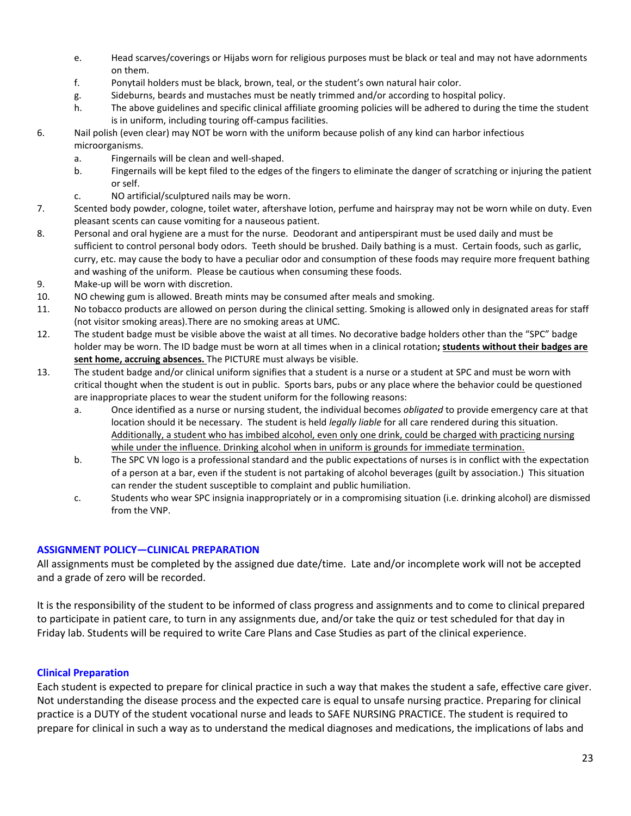- e. Head scarves/coverings or Hijabs worn for religious purposes must be black or teal and may not have adornments on them.
- f. Ponytail holders must be black, brown, teal, or the student's own natural hair color.
- g. Sideburns, beards and mustaches must be neatly trimmed and/or according to hospital policy.
- h. The above guidelines and specific clinical affiliate grooming policies will be adhered to during the time the student is in uniform, including touring off-campus facilities.
- 6. Nail polish (even clear) may NOT be worn with the uniform because polish of any kind can harbor infectious microorganisms.
	- a. Fingernails will be clean and well-shaped.
	- b. Fingernails will be kept filed to the edges of the fingers to eliminate the danger of scratching or injuring the patient or self.
	- c. NO artificial/sculptured nails may be worn.
- 7. Scented body powder, cologne, toilet water, aftershave lotion, perfume and hairspray may not be worn while on duty. Even pleasant scents can cause vomiting for a nauseous patient.
- 8. Personal and oral hygiene are a must for the nurse. Deodorant and antiperspirant must be used daily and must be sufficient to control personal body odors. Teeth should be brushed. Daily bathing is a must. Certain foods, such as garlic, curry, etc. may cause the body to have a peculiar odor and consumption of these foods may require more frequent bathing and washing of the uniform. Please be cautious when consuming these foods.
- 9. Make-up will be worn with discretion.
- 10. NO chewing gum is allowed. Breath mints may be consumed after meals and smoking.
- 11. No tobacco products are allowed on person during the clinical setting. Smoking is allowed only in designated areas for staff (not visitor smoking areas).There are no smoking areas at UMC.
- 12. The student badge must be visible above the waist at all times. No decorative badge holders other than the "SPC" badge holder may be worn. The ID badge must be worn at all times when in a clinical rotation**; students without their badges are sent home, accruing absences.** The PICTURE must always be visible.
- 13. The student badge and/or clinical uniform signifies that a student is a nurse or a student at SPC and must be worn with critical thought when the student is out in public. Sports bars, pubs or any place where the behavior could be questioned are inappropriate places to wear the student uniform for the following reasons:
	- a. Once identified as a nurse or nursing student, the individual becomes *obligated* to provide emergency care at that location should it be necessary. The student is held *legally liable* for all care rendered during this situation. Additionally, a student who has imbibed alcohol, even only one drink, could be charged with practicing nursing while under the influence. Drinking alcohol when in uniform is grounds for immediate termination.
	- b. The SPC VN logo is a professional standard and the public expectations of nurses is in conflict with the expectation of a person at a bar, even if the student is not partaking of alcohol beverages (guilt by association.) This situation can render the student susceptible to complaint and public humiliation.
	- c. Students who wear SPC insignia inappropriately or in a compromising situation (i.e. drinking alcohol) are dismissed from the VNP.

## **ASSIGNMENT POLICY—CLINICAL PREPARATION**

All assignments must be completed by the assigned due date/time. Late and/or incomplete work will not be accepted and a grade of zero will be recorded.

It is the responsibility of the student to be informed of class progress and assignments and to come to clinical prepared to participate in patient care, to turn in any assignments due, and/or take the quiz or test scheduled for that day in Friday lab. Students will be required to write Care Plans and Case Studies as part of the clinical experience.

## **Clinical Preparation**

Each student is expected to prepare for clinical practice in such a way that makes the student a safe, effective care giver. Not understanding the disease process and the expected care is equal to unsafe nursing practice. Preparing for clinical practice is a DUTY of the student vocational nurse and leads to SAFE NURSING PRACTICE. The student is required to prepare for clinical in such a way as to understand the medical diagnoses and medications, the implications of labs and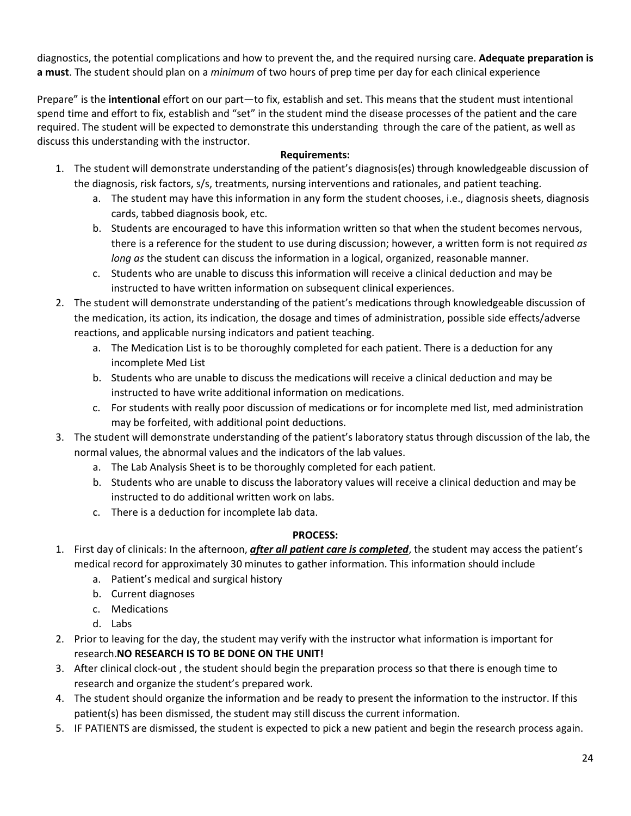diagnostics, the potential complications and how to prevent the, and the required nursing care. **Adequate preparation is a must**. The student should plan on a *minimum* of two hours of prep time per day for each clinical experience

Prepare" is the **intentional** effort on our part—to fix, establish and set. This means that the student must intentional spend time and effort to fix, establish and "set" in the student mind the disease processes of the patient and the care required. The student will be expected to demonstrate this understanding through the care of the patient, as well as discuss this understanding with the instructor.

## **Requirements:**

- 1. The student will demonstrate understanding of the patient's diagnosis(es) through knowledgeable discussion of the diagnosis, risk factors, s/s, treatments, nursing interventions and rationales, and patient teaching.
	- a. The student may have this information in any form the student chooses, i.e., diagnosis sheets, diagnosis cards, tabbed diagnosis book, etc.
	- b. Students are encouraged to have this information written so that when the student becomes nervous, there is a reference for the student to use during discussion; however, a written form is not required *as long as* the student can discuss the information in a logical, organized, reasonable manner.
	- c. Students who are unable to discuss this information will receive a clinical deduction and may be instructed to have written information on subsequent clinical experiences.
- 2. The student will demonstrate understanding of the patient's medications through knowledgeable discussion of the medication, its action, its indication, the dosage and times of administration, possible side effects/adverse reactions, and applicable nursing indicators and patient teaching.
	- a. The Medication List is to be thoroughly completed for each patient. There is a deduction for any incomplete Med List
	- b. Students who are unable to discuss the medications will receive a clinical deduction and may be instructed to have write additional information on medications.
	- c. For students with really poor discussion of medications or for incomplete med list, med administration may be forfeited, with additional point deductions.
- 3. The student will demonstrate understanding of the patient's laboratory status through discussion of the lab, the normal values, the abnormal values and the indicators of the lab values.
	- a. The Lab Analysis Sheet is to be thoroughly completed for each patient.
	- b. Students who are unable to discuss the laboratory values will receive a clinical deduction and may be instructed to do additional written work on labs.
	- c. There is a deduction for incomplete lab data.

## **PROCESS:**

- 1. First day of clinicals: In the afternoon, *after all patient care is completed*, the student may access the patient's medical record for approximately 30 minutes to gather information. This information should include
	- a. Patient's medical and surgical history
	- b. Current diagnoses
	- c. Medications
	- d. Labs
- 2. Prior to leaving for the day, the student may verify with the instructor what information is important for research.**NO RESEARCH IS TO BE DONE ON THE UNIT!**
- 3. After clinical clock-out , the student should begin the preparation process so that there is enough time to research and organize the student's prepared work.
- 4. The student should organize the information and be ready to present the information to the instructor. If this patient(s) has been dismissed, the student may still discuss the current information.
- 5. IF PATIENTS are dismissed, the student is expected to pick a new patient and begin the research process again.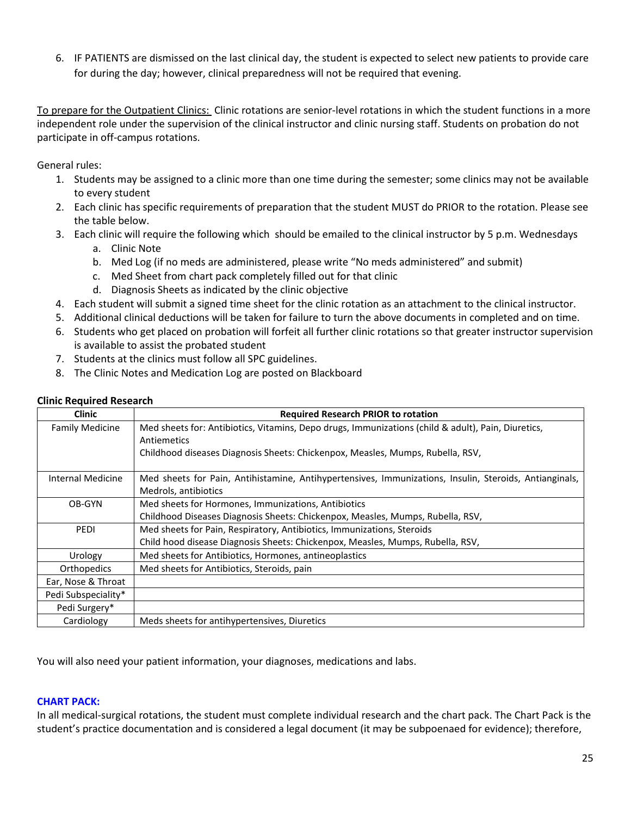6. IF PATIENTS are dismissed on the last clinical day, the student is expected to select new patients to provide care for during the day; however, clinical preparedness will not be required that evening.

To prepare for the Outpatient Clinics: Clinic rotations are senior-level rotations in which the student functions in a more independent role under the supervision of the clinical instructor and clinic nursing staff. Students on probation do not participate in off-campus rotations.

General rules:

- 1. Students may be assigned to a clinic more than one time during the semester; some clinics may not be available to every student
- 2. Each clinic has specific requirements of preparation that the student MUST do PRIOR to the rotation. Please see the table below.
- 3. Each clinic will require the following which should be emailed to the clinical instructor by 5 p.m. Wednesdays
	- a. Clinic Note
	- b. Med Log (if no meds are administered, please write "No meds administered" and submit)
	- c. Med Sheet from chart pack completely filled out for that clinic
	- d. Diagnosis Sheets as indicated by the clinic objective
- 4. Each student will submit a signed time sheet for the clinic rotation as an attachment to the clinical instructor.
- 5. Additional clinical deductions will be taken for failure to turn the above documents in completed and on time.
- 6. Students who get placed on probation will forfeit all further clinic rotations so that greater instructor supervision is available to assist the probated student
- 7. Students at the clinics must follow all SPC guidelines.
- 8. The Clinic Notes and Medication Log are posted on Blackboard

| <b>Clinic</b>            | <b>Required Research PRIOR to rotation</b>                                                                                     |
|--------------------------|--------------------------------------------------------------------------------------------------------------------------------|
| <b>Family Medicine</b>   | Med sheets for: Antibiotics, Vitamins, Depo drugs, Immunizations (child & adult), Pain, Diuretics,<br>Antiemetics              |
|                          | Childhood diseases Diagnosis Sheets: Chickenpox, Measles, Mumps, Rubella, RSV,                                                 |
| <b>Internal Medicine</b> | Med sheets for Pain, Antihistamine, Antihypertensives, Immunizations, Insulin, Steroids, Antianginals,<br>Medrols, antibiotics |
| OB-GYN                   | Med sheets for Hormones, Immunizations, Antibiotics                                                                            |
|                          | Childhood Diseases Diagnosis Sheets: Chickenpox, Measles, Mumps, Rubella, RSV,                                                 |
| PEDI                     | Med sheets for Pain, Respiratory, Antibiotics, Immunizations, Steroids                                                         |
|                          | Child hood disease Diagnosis Sheets: Chickenpox, Measles, Mumps, Rubella, RSV,                                                 |
| Urology                  | Med sheets for Antibiotics, Hormones, antineoplastics                                                                          |
| Orthopedics              | Med sheets for Antibiotics, Steroids, pain                                                                                     |
| Ear, Nose & Throat       |                                                                                                                                |
| Pedi Subspeciality*      |                                                                                                                                |
| Pedi Surgery*            |                                                                                                                                |
| Cardiology               | Meds sheets for antihypertensives, Diuretics                                                                                   |

## **Clinic Required Research**

You will also need your patient information, your diagnoses, medications and labs.

### **CHART PACK:**

In all medical-surgical rotations, the student must complete individual research and the chart pack. The Chart Pack is the student's practice documentation and is considered a legal document (it may be subpoenaed for evidence); therefore,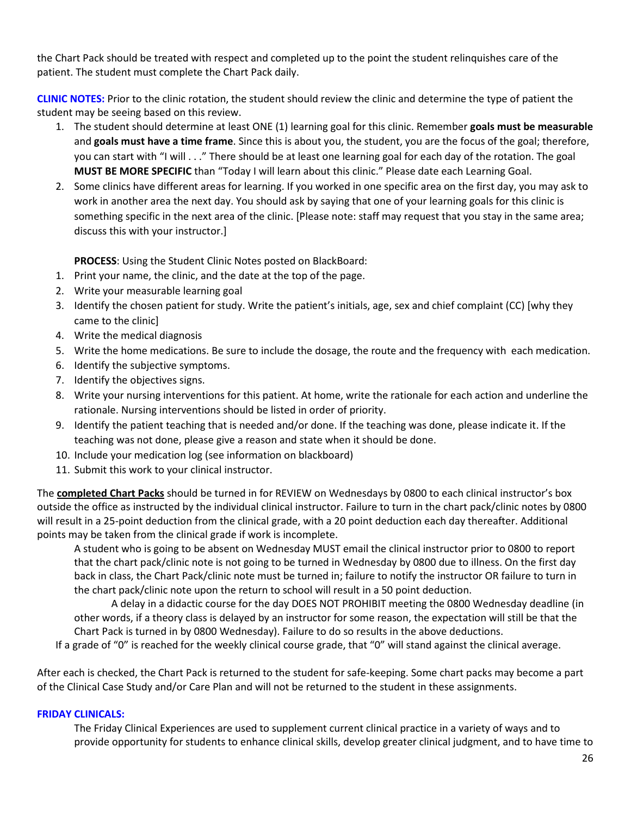the Chart Pack should be treated with respect and completed up to the point the student relinquishes care of the patient. The student must complete the Chart Pack daily.

**CLINIC NOTES:** Prior to the clinic rotation, the student should review the clinic and determine the type of patient the student may be seeing based on this review.

- 1. The student should determine at least ONE (1) learning goal for this clinic. Remember **goals must be measurable** and **goals must have a time frame**. Since this is about you, the student, you are the focus of the goal; therefore, you can start with "I will . . ." There should be at least one learning goal for each day of the rotation. The goal **MUST BE MORE SPECIFIC** than "Today I will learn about this clinic." Please date each Learning Goal.
- 2. Some clinics have different areas for learning. If you worked in one specific area on the first day, you may ask to work in another area the next day. You should ask by saying that one of your learning goals for this clinic is something specific in the next area of the clinic. [Please note: staff may request that you stay in the same area; discuss this with your instructor.]

**PROCESS**: Using the Student Clinic Notes posted on BlackBoard:

- 1. Print your name, the clinic, and the date at the top of the page.
- 2. Write your measurable learning goal
- 3. Identify the chosen patient for study. Write the patient's initials, age, sex and chief complaint (CC) [why they came to the clinic]
- 4. Write the medical diagnosis
- 5. Write the home medications. Be sure to include the dosage, the route and the frequency with each medication.
- 6. Identify the subjective symptoms.
- 7. Identify the objectives signs.
- 8. Write your nursing interventions for this patient. At home, write the rationale for each action and underline the rationale. Nursing interventions should be listed in order of priority.
- 9. Identify the patient teaching that is needed and/or done. If the teaching was done, please indicate it. If the teaching was not done, please give a reason and state when it should be done.
- 10. Include your medication log (see information on blackboard)
- 11. Submit this work to your clinical instructor.

The **completed Chart Packs** should be turned in for REVIEW on Wednesdays by 0800 to each clinical instructor's box outside the office as instructed by the individual clinical instructor. Failure to turn in the chart pack/clinic notes by 0800 will result in a 25-point deduction from the clinical grade, with a 20 point deduction each day thereafter. Additional points may be taken from the clinical grade if work is incomplete.

A student who is going to be absent on Wednesday MUST email the clinical instructor prior to 0800 to report that the chart pack/clinic note is not going to be turned in Wednesday by 0800 due to illness. On the first day back in class, the Chart Pack/clinic note must be turned in; failure to notify the instructor OR failure to turn in the chart pack/clinic note upon the return to school will result in a 50 point deduction.

A delay in a didactic course for the day DOES NOT PROHIBIT meeting the 0800 Wednesday deadline (in other words, if a theory class is delayed by an instructor for some reason, the expectation will still be that the Chart Pack is turned in by 0800 Wednesday). Failure to do so results in the above deductions.

If a grade of "0" is reached for the weekly clinical course grade, that "0" will stand against the clinical average.

After each is checked, the Chart Pack is returned to the student for safe-keeping. Some chart packs may become a part of the Clinical Case Study and/or Care Plan and will not be returned to the student in these assignments.

## **FRIDAY CLINICALS:**

The Friday Clinical Experiences are used to supplement current clinical practice in a variety of ways and to provide opportunity for students to enhance clinical skills, develop greater clinical judgment, and to have time to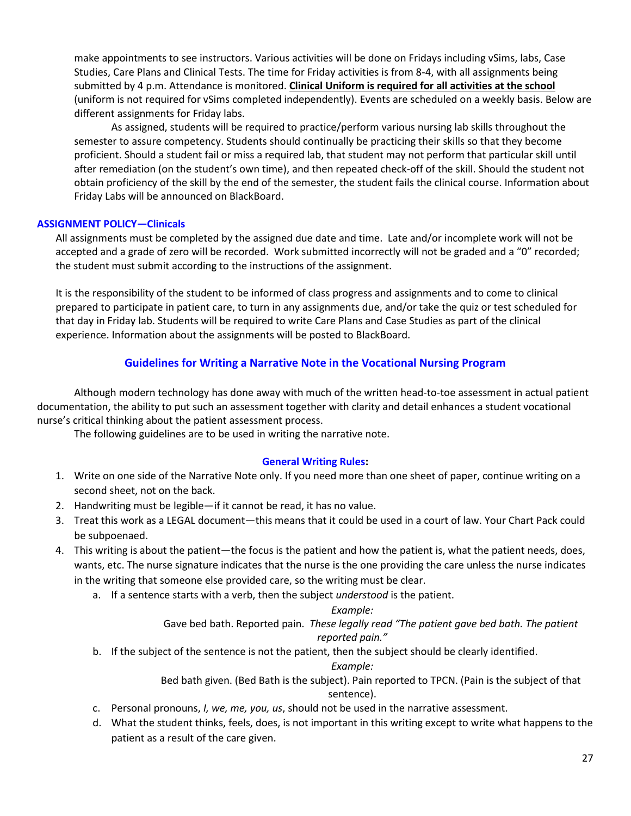make appointments to see instructors. Various activities will be done on Fridays including vSims, labs, Case Studies, Care Plans and Clinical Tests. The time for Friday activities is from 8-4, with all assignments being submitted by 4 p.m. Attendance is monitored. **Clinical Uniform is required for all activities at the school** (uniform is not required for vSims completed independently). Events are scheduled on a weekly basis. Below are different assignments for Friday labs.

As assigned, students will be required to practice/perform various nursing lab skills throughout the semester to assure competency. Students should continually be practicing their skills so that they become proficient. Should a student fail or miss a required lab, that student may not perform that particular skill until after remediation (on the student's own time), and then repeated check-off of the skill. Should the student not obtain proficiency of the skill by the end of the semester, the student fails the clinical course. Information about Friday Labs will be announced on BlackBoard.

## **ASSIGNMENT POLICY—Clinicals**

All assignments must be completed by the assigned due date and time. Late and/or incomplete work will not be accepted and a grade of zero will be recorded. Work submitted incorrectly will not be graded and a "0" recorded; the student must submit according to the instructions of the assignment.

It is the responsibility of the student to be informed of class progress and assignments and to come to clinical prepared to participate in patient care, to turn in any assignments due, and/or take the quiz or test scheduled for that day in Friday lab. Students will be required to write Care Plans and Case Studies as part of the clinical experience. Information about the assignments will be posted to BlackBoard.

## **Guidelines for Writing a Narrative Note in the Vocational Nursing Program**

Although modern technology has done away with much of the written head-to-toe assessment in actual patient documentation, the ability to put such an assessment together with clarity and detail enhances a student vocational nurse's critical thinking about the patient assessment process.

The following guidelines are to be used in writing the narrative note.

## **General Writing Rules:**

- 1. Write on one side of the Narrative Note only. If you need more than one sheet of paper, continue writing on a second sheet, not on the back.
- 2. Handwriting must be legible—if it cannot be read, it has no value.
- 3. Treat this work as a LEGAL document—this means that it could be used in a court of law. Your Chart Pack could be subpoenaed.
- 4. This writing is about the patient—the focus is the patient and how the patient is, what the patient needs, does, wants, etc. The nurse signature indicates that the nurse is the one providing the care unless the nurse indicates in the writing that someone else provided care, so the writing must be clear.
	- a. If a sentence starts with a verb, then the subject *understood* is the patient.

## *Example:*

Gave bed bath. Reported pain. *These legally read "The patient gave bed bath. The patient reported pain."*

b. If the subject of the sentence is not the patient, then the subject should be clearly identified.

## *Example:*

Bed bath given. (Bed Bath is the subject). Pain reported to TPCN. (Pain is the subject of that sentence).

- c. Personal pronouns, *I, we, me, you, us*, should not be used in the narrative assessment.
- d. What the student thinks, feels, does, is not important in this writing except to write what happens to the patient as a result of the care given.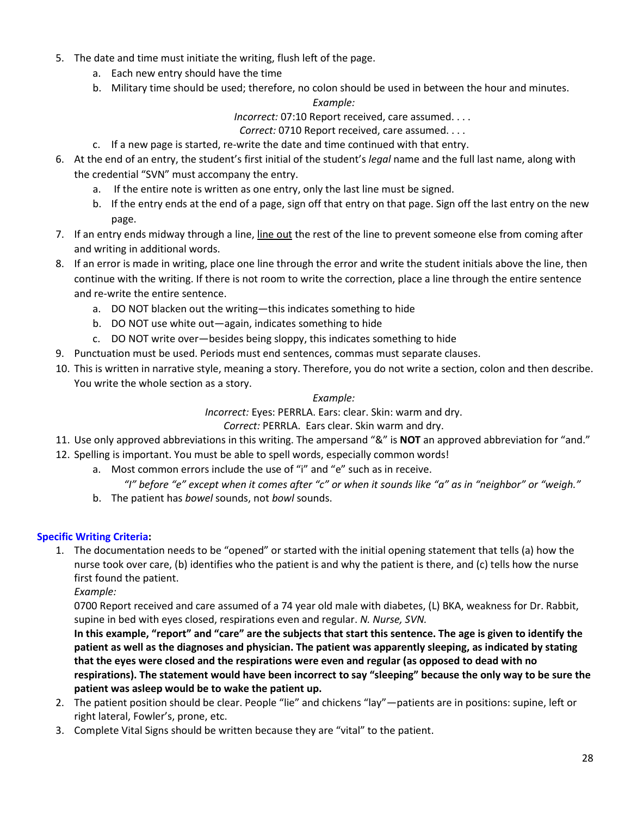- 5. The date and time must initiate the writing, flush left of the page.
	- a. Each new entry should have the time
	- b. Military time should be used; therefore, no colon should be used in between the hour and minutes.

## *Example:*

*Incorrect:* 07:10 Report received, care assumed. . . .

*Correct:* 0710 Report received, care assumed. . . .

- c. If a new page is started, re-write the date and time continued with that entry.
- 6. At the end of an entry, the student's first initial of the student's *legal* name and the full last name, along with the credential "SVN" must accompany the entry.
	- a. If the entire note is written as one entry, only the last line must be signed.
	- b. If the entry ends at the end of a page, sign off that entry on that page. Sign off the last entry on the new page.
- 7. If an entry ends midway through a line, line out the rest of the line to prevent someone else from coming after and writing in additional words.
- 8. If an error is made in writing, place one line through the error and write the student initials above the line, then continue with the writing. If there is not room to write the correction, place a line through the entire sentence and re-write the entire sentence.
	- a. DO NOT blacken out the writing—this indicates something to hide
	- b. DO NOT use white out—again, indicates something to hide
	- c. DO NOT write over—besides being sloppy, this indicates something to hide
- 9. Punctuation must be used. Periods must end sentences, commas must separate clauses.
- 10. This is written in narrative style, meaning a story. Therefore, you do not write a section, colon and then describe. You write the whole section as a story.

## *Example:*

*Incorrect:* Eyes: PERRLA. Ears: clear. Skin: warm and dry.

## *Correct:* PERRLA. Ears clear. Skin warm and dry.

- 11. Use only approved abbreviations in this writing. The ampersand "&" is **NOT** an approved abbreviation for "and."
- 12. Spelling is important. You must be able to spell words, especially common words!
	- a. Most common errors include the use of "i" and "e" such as in receive.
		- *"I" before "e" except when it comes after "c" or when it sounds like "a" as in "neighbor" or "weigh."*
	- b. The patient has *bowel* sounds, not *bowl* sounds.

# **Specific Writing Criteria:**

1. The documentation needs to be "opened" or started with the initial opening statement that tells (a) how the nurse took over care, (b) identifies who the patient is and why the patient is there, and (c) tells how the nurse first found the patient.

*Example:*

0700 Report received and care assumed of a 74 year old male with diabetes, (L) BKA, weakness for Dr. Rabbit, supine in bed with eyes closed, respirations even and regular. *N. Nurse, SVN.*

**In this example, "report" and "care" are the subjects that start this sentence. The age is given to identify the patient as well as the diagnoses and physician. The patient was apparently sleeping, as indicated by stating that the eyes were closed and the respirations were even and regular (as opposed to dead with no respirations). The statement would have been incorrect to say "sleeping" because the only way to be sure the patient was asleep would be to wake the patient up.**

- 2. The patient position should be clear. People "lie" and chickens "lay"—patients are in positions: supine, left or right lateral, Fowler's, prone, etc.
- 3. Complete Vital Signs should be written because they are "vital" to the patient.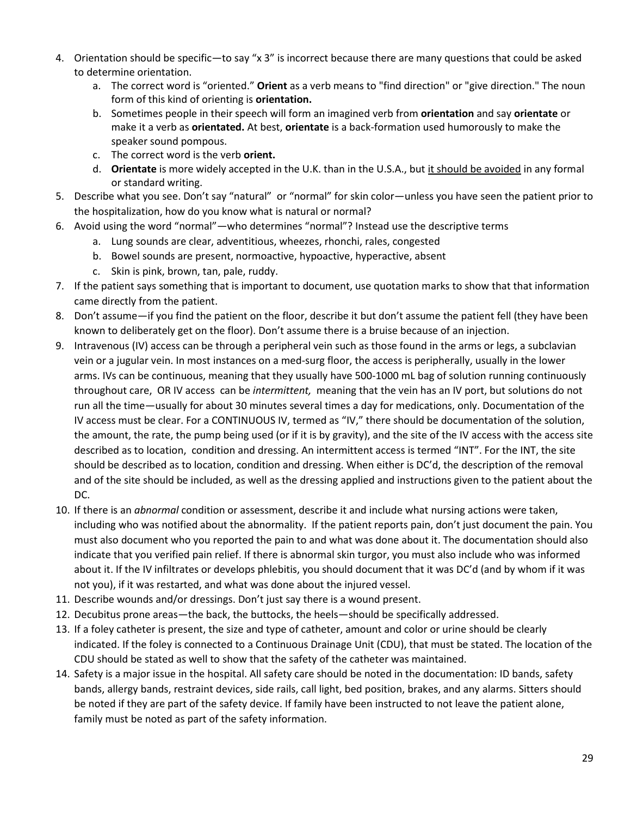- 4. Orientation should be specific—to say "x 3" is incorrect because there are many questions that could be asked to determine orientation.
	- a. The correct word is "oriented." **Orient** as a verb means to "find direction" or "give direction." The noun form of this kind of orienting is **orientation.**
	- b. Sometimes people in their speech will form an imagined verb from **orientation** and say **orientate** or make it a verb as **orientated.** At best, **orientate** is a back-formation used humorously to make the speaker sound pompous.
	- c. The correct word is the verb **orient.**
	- d. **Orientate** is more widely accepted in the U.K. than in the U.S.A., but it should be avoided in any formal or standard writing.
- 5. Describe what you see. Don't say "natural" or "normal" for skin color—unless you have seen the patient prior to the hospitalization, how do you know what is natural or normal?
- 6. Avoid using the word "normal"—who determines "normal"? Instead use the descriptive terms
	- a. Lung sounds are clear, adventitious, wheezes, rhonchi, rales, congested
	- b. Bowel sounds are present, normoactive, hypoactive, hyperactive, absent
	- c. Skin is pink, brown, tan, pale, ruddy.
- 7. If the patient says something that is important to document, use quotation marks to show that that information came directly from the patient.
- 8. Don't assume—if you find the patient on the floor, describe it but don't assume the patient fell (they have been known to deliberately get on the floor). Don't assume there is a bruise because of an injection.
- 9. Intravenous (IV) access can be through a peripheral vein such as those found in the arms or legs, a subclavian vein or a jugular vein. In most instances on a med-surg floor, the access is peripherally, usually in the lower arms. IVs can be continuous, meaning that they usually have 500-1000 mL bag of solution running continuously throughout care, OR IV access can be *intermittent,* meaning that the vein has an IV port, but solutions do not run all the time—usually for about 30 minutes several times a day for medications, only. Documentation of the IV access must be clear. For a CONTINUOUS IV, termed as "IV," there should be documentation of the solution, the amount, the rate, the pump being used (or if it is by gravity), and the site of the IV access with the access site described as to location, condition and dressing. An intermittent access is termed "INT". For the INT, the site should be described as to location, condition and dressing. When either is DC'd, the description of the removal and of the site should be included, as well as the dressing applied and instructions given to the patient about the DC.
- 10. If there is an *abnormal* condition or assessment, describe it and include what nursing actions were taken, including who was notified about the abnormality. If the patient reports pain, don't just document the pain. You must also document who you reported the pain to and what was done about it. The documentation should also indicate that you verified pain relief. If there is abnormal skin turgor, you must also include who was informed about it. If the IV infiltrates or develops phlebitis, you should document that it was DC'd (and by whom if it was not you), if it was restarted, and what was done about the injured vessel.
- 11. Describe wounds and/or dressings. Don't just say there is a wound present.
- 12. Decubitus prone areas—the back, the buttocks, the heels—should be specifically addressed.
- 13. If a foley catheter is present, the size and type of catheter, amount and color or urine should be clearly indicated. If the foley is connected to a Continuous Drainage Unit (CDU), that must be stated. The location of the CDU should be stated as well to show that the safety of the catheter was maintained.
- 14. Safety is a major issue in the hospital. All safety care should be noted in the documentation: ID bands, safety bands, allergy bands, restraint devices, side rails, call light, bed position, brakes, and any alarms. Sitters should be noted if they are part of the safety device. If family have been instructed to not leave the patient alone, family must be noted as part of the safety information.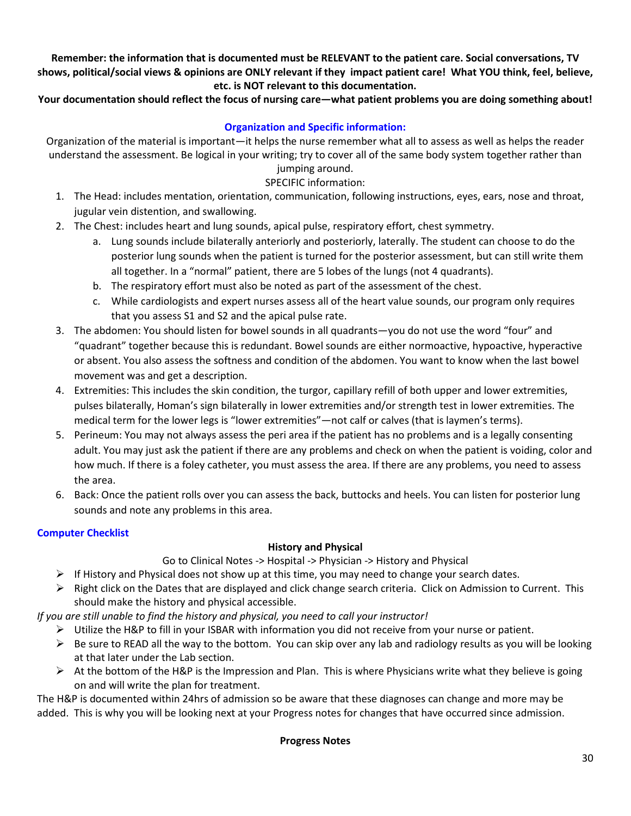**Remember: the information that is documented must be RELEVANT to the patient care. Social conversations, TV shows, political/social views & opinions are ONLY relevant if they impact patient care! What YOU think, feel, believe, etc. is NOT relevant to this documentation.** 

## **Your documentation should reflect the focus of nursing care—what patient problems you are doing something about!**

## **Organization and Specific information:**

Organization of the material is important—it helps the nurse remember what all to assess as well as helps the reader understand the assessment. Be logical in your writing; try to cover all of the same body system together rather than jumping around.

# SPECIFIC information:

- 1. The Head: includes mentation, orientation, communication, following instructions, eyes, ears, nose and throat, jugular vein distention, and swallowing.
- 2. The Chest: includes heart and lung sounds, apical pulse, respiratory effort, chest symmetry.
	- a. Lung sounds include bilaterally anteriorly and posteriorly, laterally. The student can choose to do the posterior lung sounds when the patient is turned for the posterior assessment, but can still write them all together. In a "normal" patient, there are 5 lobes of the lungs (not 4 quadrants).
	- b. The respiratory effort must also be noted as part of the assessment of the chest.
	- c. While cardiologists and expert nurses assess all of the heart value sounds, our program only requires that you assess S1 and S2 and the apical pulse rate.
- 3. The abdomen: You should listen for bowel sounds in all quadrants—you do not use the word "four" and "quadrant" together because this is redundant. Bowel sounds are either normoactive, hypoactive, hyperactive or absent. You also assess the softness and condition of the abdomen. You want to know when the last bowel movement was and get a description.
- 4. Extremities: This includes the skin condition, the turgor, capillary refill of both upper and lower extremities, pulses bilaterally, Homan's sign bilaterally in lower extremities and/or strength test in lower extremities. The medical term for the lower legs is "lower extremities"—not calf or calves (that is laymen's terms).
- 5. Perineum: You may not always assess the peri area if the patient has no problems and is a legally consenting adult. You may just ask the patient if there are any problems and check on when the patient is voiding, color and how much. If there is a foley catheter, you must assess the area. If there are any problems, you need to assess the area.
- 6. Back: Once the patient rolls over you can assess the back, buttocks and heels. You can listen for posterior lung sounds and note any problems in this area.

## **Computer Checklist**

## **History and Physical**

Go to Clinical Notes -> Hospital -> Physician -> History and Physical

- $\triangleright$  If History and Physical does not show up at this time, you may need to change your search dates.
- $\triangleright$  Right click on the Dates that are displayed and click change search criteria. Click on Admission to Current. This should make the history and physical accessible.

*If you are still unable to find the history and physical, you need to call your instructor!*

- $\triangleright$  Utilize the H&P to fill in your ISBAR with information you did not receive from your nurse or patient.
- $\triangleright$  Be sure to READ all the way to the bottom. You can skip over any lab and radiology results as you will be looking at that later under the Lab section.
- $\triangleright$  At the bottom of the H&P is the Impression and Plan. This is where Physicians write what they believe is going on and will write the plan for treatment.

The H&P is documented within 24hrs of admission so be aware that these diagnoses can change and more may be added. This is why you will be looking next at your Progress notes for changes that have occurred since admission.

## **Progress Notes**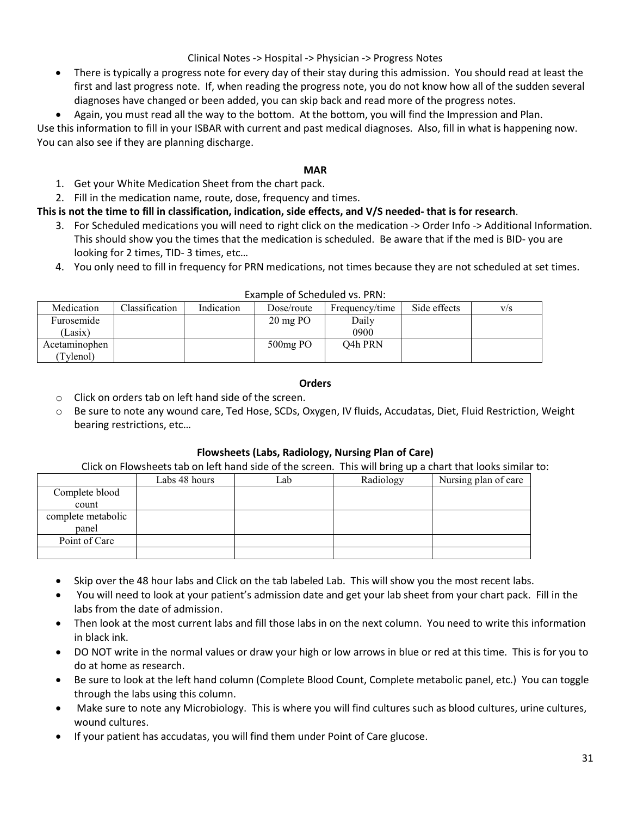## Clinical Notes -> Hospital -> Physician -> Progress Notes

- There is typically a progress note for every day of their stay during this admission. You should read at least the first and last progress note. If, when reading the progress note, you do not know how all of the sudden several diagnoses have changed or been added, you can skip back and read more of the progress notes.
- Again, you must read all the way to the bottom. At the bottom, you will find the Impression and Plan.

Use this information to fill in your ISBAR with current and past medical diagnoses. Also, fill in what is happening now. You can also see if they are planning discharge.

### **MAR**

- 1. Get your White Medication Sheet from the chart pack.
- 2. Fill in the medication name, route, dose, frequency and times.

## **This is not the time to fill in classification, indication, side effects, and V/S needed- that is for research**.

- 3. For Scheduled medications you will need to right click on the medication -> Order Info -> Additional Information. This should show you the times that the medication is scheduled. Be aware that if the med is BID- you are looking for 2 times, TID- 3 times, etc…
- 4. You only need to fill in frequency for PRN medications, not times because they are not scheduled at set times.

| Medication    | Classification | Indication | Dose/route            | Frequency/time | Side effects | V/S |
|---------------|----------------|------------|-----------------------|----------------|--------------|-----|
| Furosemide    |                |            | $20 \,\mathrm{mg}$ PO | Daily          |              |     |
| Lasix)        |                |            |                       | 0900           |              |     |
| Acetaminophen |                |            | $500mg$ PO            | O4h PRN        |              |     |
| Tylenol)      |                |            |                       |                |              |     |

### Example of Scheduled vs. PRN:

### **Orders**

- o Click on orders tab on left hand side of the screen.
- o Be sure to note any wound care, Ted Hose, SCDs, Oxygen, IV fluids, Accudatas, Diet, Fluid Restriction, Weight bearing restrictions, etc…

## **Flowsheets (Labs, Radiology, Nursing Plan of Care)**

### Click on Flowsheets tab on left hand side of the screen. This will bring up a chart that looks similar to:

|                    | Labs 48 hours | _ab | Radiology | Nursing plan of care |
|--------------------|---------------|-----|-----------|----------------------|
| Complete blood     |               |     |           |                      |
| count              |               |     |           |                      |
| complete metabolic |               |     |           |                      |
| panel              |               |     |           |                      |
| Point of Care      |               |     |           |                      |
|                    |               |     |           |                      |

- Skip over the 48 hour labs and Click on the tab labeled Lab. This will show you the most recent labs.
- You will need to look at your patient's admission date and get your lab sheet from your chart pack. Fill in the labs from the date of admission.
- Then look at the most current labs and fill those labs in on the next column. You need to write this information in black ink.
- DO NOT write in the normal values or draw your high or low arrows in blue or red at this time. This is for you to do at home as research.
- Be sure to look at the left hand column (Complete Blood Count, Complete metabolic panel, etc.) You can toggle through the labs using this column.
- Make sure to note any Microbiology. This is where you will find cultures such as blood cultures, urine cultures, wound cultures.
- If your patient has accudatas, you will find them under Point of Care glucose.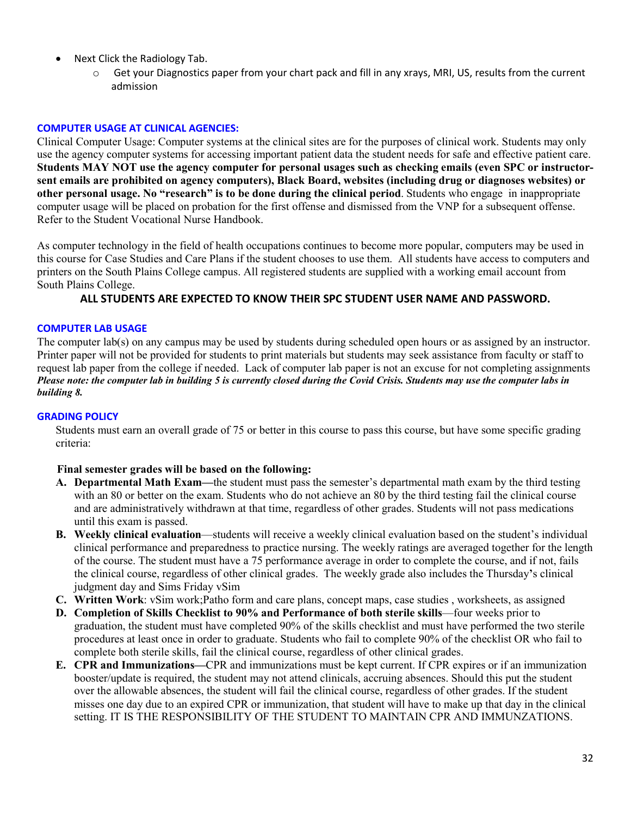- Next Click the Radiology Tab.
	- o Get your Diagnostics paper from your chart pack and fill in any xrays, MRI, US, results from the current admission

## **COMPUTER USAGE AT CLINICAL AGENCIES:**

Clinical Computer Usage: Computer systems at the clinical sites are for the purposes of clinical work. Students may only use the agency computer systems for accessing important patient data the student needs for safe and effective patient care. **Students MAY NOT use the agency computer for personal usages such as checking emails (even SPC or instructorsent emails are prohibited on agency computers), Black Board, websites (including drug or diagnoses websites) or other personal usage. No "research" is to be done during the clinical period**. Students who engage in inappropriate computer usage will be placed on probation for the first offense and dismissed from the VNP for a subsequent offense. Refer to the Student Vocational Nurse Handbook.

As computer technology in the field of health occupations continues to become more popular, computers may be used in this course for Case Studies and Care Plans if the student chooses to use them. All students have access to computers and printers on the South Plains College campus. All registered students are supplied with a working email account from South Plains College.

## **ALL STUDENTS ARE EXPECTED TO KNOW THEIR SPC STUDENT USER NAME AND PASSWORD.**

### **COMPUTER LAB USAGE**

The computer lab(s) on any campus may be used by students during scheduled open hours or as assigned by an instructor. Printer paper will not be provided for students to print materials but students may seek assistance from faculty or staff to request lab paper from the college if needed. Lack of computer lab paper is not an excuse for not completing assignments *Please note: the computer lab in building 5 is currently closed during the Covid Crisis. Students may use the computer labs in building 8.*

## **GRADING POLICY**

Students must earn an overall grade of 75 or better in this course to pass this course, but have some specific grading criteria:

## **Final semester grades will be based on the following:**

- **A. Departmental Math Exam—**the student must pass the semester's departmental math exam by the third testing with an 80 or better on the exam. Students who do not achieve an 80 by the third testing fail the clinical course and are administratively withdrawn at that time, regardless of other grades. Students will not pass medications until this exam is passed.
- **B. Weekly clinical evaluation**—students will receive a weekly clinical evaluation based on the student's individual clinical performance and preparedness to practice nursing. The weekly ratings are averaged together for the length of the course. The student must have a 75 performance average in order to complete the course, and if not, fails the clinical course, regardless of other clinical grades. The weekly grade also includes the Thursday**'**s clinical judgment day and Sims Friday vSim
- **C. Written Work**: vSim work;Patho form and care plans, concept maps, case studies , worksheets, as assigned
- **D. Completion of Skills Checklist to 90% and Performance of both sterile skills**—four weeks prior to graduation, the student must have completed 90% of the skills checklist and must have performed the two sterile procedures at least once in order to graduate. Students who fail to complete 90% of the checklist OR who fail to complete both sterile skills, fail the clinical course, regardless of other clinical grades.
- **E. CPR and Immunizations—**CPR and immunizations must be kept current. If CPR expires or if an immunization booster/update is required, the student may not attend clinicals, accruing absences. Should this put the student over the allowable absences, the student will fail the clinical course, regardless of other grades. If the student misses one day due to an expired CPR or immunization, that student will have to make up that day in the clinical setting. IT IS THE RESPONSIBILITY OF THE STUDENT TO MAINTAIN CPR AND IMMUNZATIONS.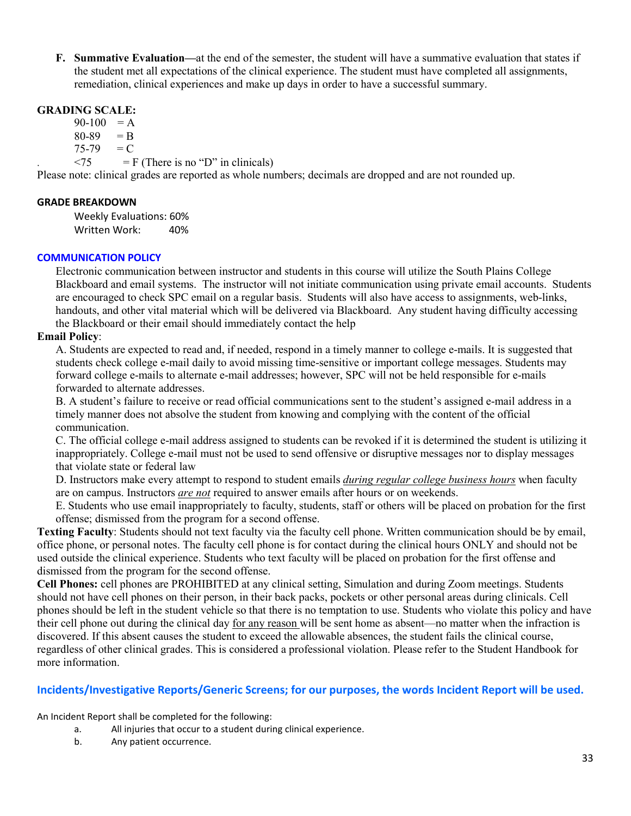**F. Summative Evaluation—**at the end of the semester, the student will have a summative evaluation that states if the student met all expectations of the clinical experience. The student must have completed all assignments, remediation, clinical experiences and make up days in order to have a successful summary.

## **GRADING SCALE:**

 $90-100 = A$ 

 $80-89 = B$ 

 $75-79 = C$ 

 $\langle 75 \rangle$  = F (There is no "D" in clinicals)

Please note: clinical grades are reported as whole numbers; decimals are dropped and are not rounded up.

## **GRADE BREAKDOWN**

Weekly Evaluations: 60% Written Work: 40%

## **COMMUNICATION POLICY**

Electronic communication between instructor and students in this course will utilize the South Plains College Blackboard and email systems. The instructor will not initiate communication using private email accounts. Students are encouraged to check SPC email on a regular basis. Students will also have access to assignments, web-links, handouts, and other vital material which will be delivered via Blackboard. Any student having difficulty accessing the Blackboard or their email should immediately contact the help

## **Email Policy**:

A. Students are expected to read and, if needed, respond in a timely manner to college e-mails. It is suggested that students check college e-mail daily to avoid missing time-sensitive or important college messages. Students may forward college e-mails to alternate e-mail addresses; however, SPC will not be held responsible for e-mails forwarded to alternate addresses.

B. A student's failure to receive or read official communications sent to the student's assigned e-mail address in a timely manner does not absolve the student from knowing and complying with the content of the official communication.

C. The official college e-mail address assigned to students can be revoked if it is determined the student is utilizing it inappropriately. College e-mail must not be used to send offensive or disruptive messages nor to display messages that violate state or federal law

D. Instructors make every attempt to respond to student emails *during regular college business hours* when faculty are on campus. Instructors *are not* required to answer emails after hours or on weekends.

E. Students who use email inappropriately to faculty, students, staff or others will be placed on probation for the first offense; dismissed from the program for a second offense.

**Texting Faculty**: Students should not text faculty via the faculty cell phone. Written communication should be by email, office phone, or personal notes. The faculty cell phone is for contact during the clinical hours ONLY and should not be used outside the clinical experience. Students who text faculty will be placed on probation for the first offense and dismissed from the program for the second offense.

**Cell Phones:** cell phones are PROHIBITED at any clinical setting, Simulation and during Zoom meetings. Students should not have cell phones on their person, in their back packs, pockets or other personal areas during clinicals. Cell phones should be left in the student vehicle so that there is no temptation to use. Students who violate this policy and have their cell phone out during the clinical day for any reason will be sent home as absent—no matter when the infraction is discovered. If this absent causes the student to exceed the allowable absences, the student fails the clinical course, regardless of other clinical grades. This is considered a professional violation. Please refer to the Student Handbook for more information.

## **Incidents/Investigative Reports/Generic Screens; for our purposes, the words Incident Report will be used.**

An Incident Report shall be completed for the following:

- a. All injuries that occur to a student during clinical experience.
- b. Any patient occurrence.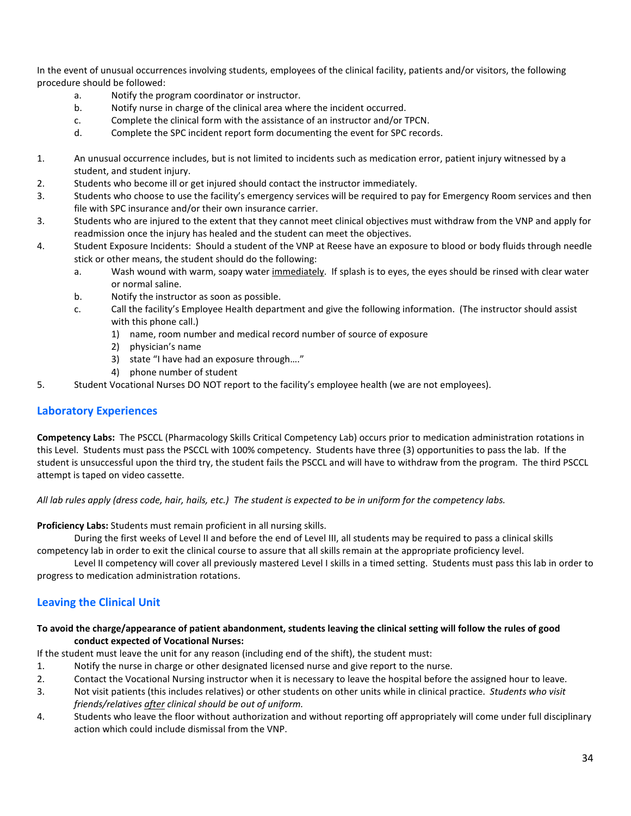In the event of unusual occurrences involving students, employees of the clinical facility, patients and/or visitors, the following procedure should be followed:

- a. Notify the program coordinator or instructor.
- b. Notify nurse in charge of the clinical area where the incident occurred.
- c. Complete the clinical form with the assistance of an instructor and/or TPCN.
- d. Complete the SPC incident report form documenting the event for SPC records.
- 1. An unusual occurrence includes, but is not limited to incidents such as medication error, patient injury witnessed by a student, and student injury.
- 2. Students who become ill or get injured should contact the instructor immediately.
- 3. Students who choose to use the facility's emergency services will be required to pay for Emergency Room services and then file with SPC insurance and/or their own insurance carrier.
- 3. Students who are injured to the extent that they cannot meet clinical objectives must withdraw from the VNP and apply for readmission once the injury has healed and the student can meet the objectives.
- 4. Student Exposure Incidents: Should a student of the VNP at Reese have an exposure to blood or body fluids through needle stick or other means, the student should do the following:
	- a. Wash wound with warm, soapy water immediately. If splash is to eyes, the eyes should be rinsed with clear water or normal saline.
	- b. Notify the instructor as soon as possible.
	- c. Call the facility's Employee Health department and give the following information. (The instructor should assist with this phone call.)
		- 1) name, room number and medical record number of source of exposure
		- 2) physician's name
		- 3) state "I have had an exposure through…."
		- 4) phone number of student
- 5. Student Vocational Nurses DO NOT report to the facility's employee health (we are not employees).

## **Laboratory Experiences**

**Competency Labs:** The PSCCL (Pharmacology Skills Critical Competency Lab) occurs prior to medication administration rotations in this Level. Students must pass the PSCCL with 100% competency. Students have three (3) opportunities to pass the lab. If the student is unsuccessful upon the third try, the student fails the PSCCL and will have to withdraw from the program. The third PSCCL attempt is taped on video cassette.

*All lab rules apply (dress code, hair, hails, etc.) The student is expected to be in uniform for the competency labs.*

**Proficiency Labs:** Students must remain proficient in all nursing skills.

During the first weeks of Level II and before the end of Level III, all students may be required to pass a clinical skills competency lab in order to exit the clinical course to assure that all skills remain at the appropriate proficiency level.

Level II competency will cover all previously mastered Level I skills in a timed setting. Students must pass this lab in order to progress to medication administration rotations.

## **Leaving the Clinical Unit**

### **To avoid the charge/appearance of patient abandonment, students leaving the clinical setting will follow the rules of good conduct expected of Vocational Nurses:**

If the student must leave the unit for any reason (including end of the shift), the student must:

- 1. Notify the nurse in charge or other designated licensed nurse and give report to the nurse.
- 2. Contact the Vocational Nursing instructor when it is necessary to leave the hospital before the assigned hour to leave.
- 3. Not visit patients (this includes relatives) or other students on other units while in clinical practice. *Students who visit friends/relatives after clinical should be out of uniform.*
- 4. Students who leave the floor without authorization and without reporting off appropriately will come under full disciplinary action which could include dismissal from the VNP.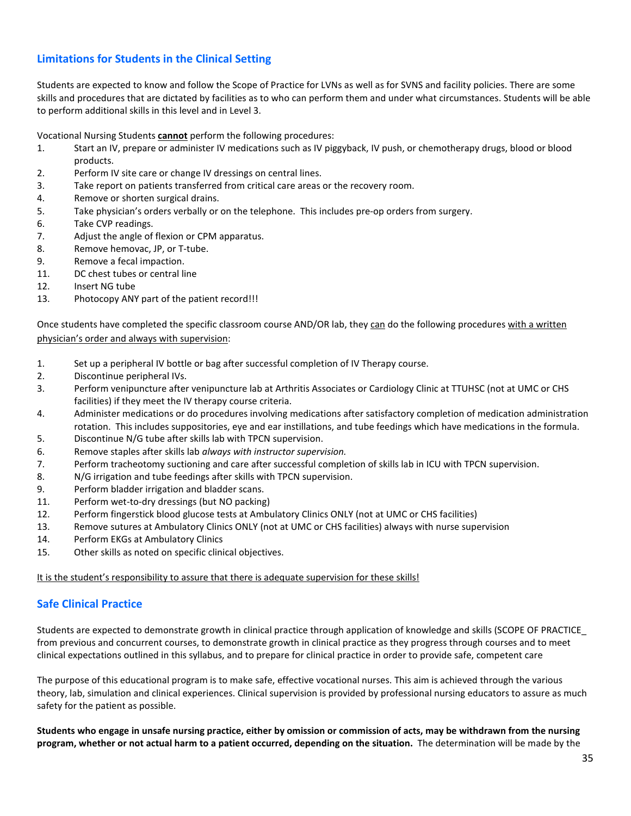## **Limitations for Students in the Clinical Setting**

Students are expected to know and follow the Scope of Practice for LVNs as well as for SVNS and facility policies. There are some skills and procedures that are dictated by facilities as to who can perform them and under what circumstances. Students will be able to perform additional skills in this level and in Level 3.

Vocational Nursing Students **cannot** perform the following procedures:

- 1. Start an IV, prepare or administer IV medications such as IV piggyback, IV push, or chemotherapy drugs, blood or blood products.
- 2. Perform IV site care or change IV dressings on central lines.
- 3. Take report on patients transferred from critical care areas or the recovery room.
- 4. Remove or shorten surgical drains.
- 5. Take physician's orders verbally or on the telephone. This includes pre-op orders from surgery.
- 6. Take CVP readings.
- 7. Adjust the angle of flexion or CPM apparatus.
- 8. Remove hemovac, JP, or T-tube.
- 9. Remove a fecal impaction.
- 11. DC chest tubes or central line
- 12. Insert NG tube
- 13. Photocopy ANY part of the patient record!!!

Once students have completed the specific classroom course AND/OR lab, they can do the following procedures with a written physician's order and always with supervision:

- 1. Set up a peripheral IV bottle or bag after successful completion of IV Therapy course.
- 2. Discontinue peripheral IVs.
- 3. Perform venipuncture after venipuncture lab at Arthritis Associates or Cardiology Clinic at TTUHSC (not at UMC or CHS facilities) if they meet the IV therapy course criteria.
- 4. Administer medications or do procedures involving medications after satisfactory completion of medication administration rotation. This includes suppositories, eye and ear instillations, and tube feedings which have medications in the formula.
- 5. Discontinue N/G tube after skills lab with TPCN supervision.
- 6. Remove staples after skills lab *always with instructor supervision.*
- 7. Perform tracheotomy suctioning and care after successful completion of skills lab in ICU with TPCN supervision.
- 8. N/G irrigation and tube feedings after skills with TPCN supervision.
- 9. Perform bladder irrigation and bladder scans.
- 11. Perform wet-to-dry dressings (but NO packing)
- 12. Perform fingerstick blood glucose tests at Ambulatory Clinics ONLY (not at UMC or CHS facilities)
- 13. Remove sutures at Ambulatory Clinics ONLY (not at UMC or CHS facilities) always with nurse supervision
- 14. Perform EKGs at Ambulatory Clinics
- 15. Other skills as noted on specific clinical objectives.

It is the student's responsibility to assure that there is adequate supervision for these skills!

## **Safe Clinical Practice**

Students are expected to demonstrate growth in clinical practice through application of knowledge and skills (SCOPE OF PRACTICE\_ from previous and concurrent courses, to demonstrate growth in clinical practice as they progress through courses and to meet clinical expectations outlined in this syllabus, and to prepare for clinical practice in order to provide safe, competent care

The purpose of this educational program is to make safe, effective vocational nurses. This aim is achieved through the various theory, lab, simulation and clinical experiences. Clinical supervision is provided by professional nursing educators to assure as much safety for the patient as possible.

**Students who engage in unsafe nursing practice, either by omission or commission of acts, may be withdrawn from the nursing program, whether or not actual harm to a patient occurred, depending on the situation.** The determination will be made by the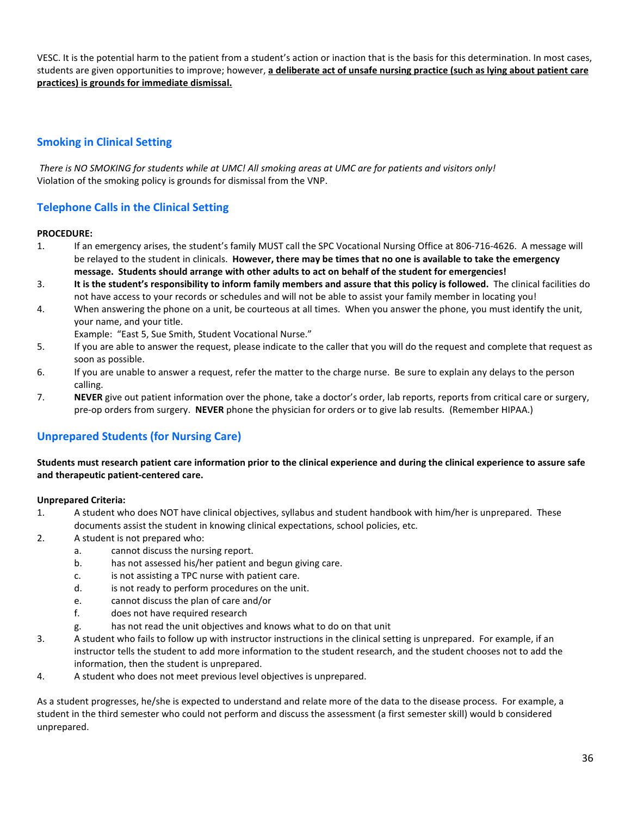VESC. It is the potential harm to the patient from a student's action or inaction that is the basis for this determination. In most cases, students are given opportunities to improve; however, **a deliberate act of unsafe nursing practice (such as lying about patient care practices) is grounds for immediate dismissal.**

## **Smoking in Clinical Setting**

*There is NO SMOKING for students while at UMC! All smoking areas at UMC are for patients and visitors only!* Violation of the smoking policy is grounds for dismissal from the VNP.

## **Telephone Calls in the Clinical Setting**

### **PROCEDURE:**

- 1. If an emergency arises, the student's family MUST call the SPC Vocational Nursing Office at 806-716-4626. A message will be relayed to the student in clinicals. **However, there may be times that no one is available to take the emergency message. Students should arrange with other adults to act on behalf of the student for emergencies!**
- 3. **It is the student's responsibility to inform family members and assure that this policy is followed.** The clinical facilities do not have access to your records or schedules and will not be able to assist your family member in locating you!
- 4. When answering the phone on a unit, be courteous at all times. When you answer the phone, you must identify the unit, your name, and your title.

Example: "East 5, Sue Smith, Student Vocational Nurse."

- 5. If you are able to answer the request, please indicate to the caller that you will do the request and complete that request as soon as possible.
- 6. If you are unable to answer a request, refer the matter to the charge nurse. Be sure to explain any delays to the person calling.
- 7. **NEVER** give out patient information over the phone, take a doctor's order, lab reports, reports from critical care or surgery, pre-op orders from surgery. **NEVER** phone the physician for orders or to give lab results. (Remember HIPAA.)

## **Unprepared Students (for Nursing Care)**

### **Students must research patient care information prior to the clinical experience and during the clinical experience to assure safe and therapeutic patient-centered care.**

### **Unprepared Criteria:**

- 1. A student who does NOT have clinical objectives, syllabus and student handbook with him/her is unprepared. These documents assist the student in knowing clinical expectations, school policies, etc.
- 2. A student is not prepared who:
	- a. cannot discuss the nursing report.
	- b. has not assessed his/her patient and begun giving care.
	- c. is not assisting a TPC nurse with patient care.
	- d. is not ready to perform procedures on the unit.
	- e. cannot discuss the plan of care and/or
	- f. does not have required research
	- g. has not read the unit objectives and knows what to do on that unit
- 3. A student who fails to follow up with instructor instructions in the clinical setting is unprepared. For example, if an instructor tells the student to add more information to the student research, and the student chooses not to add the information, then the student is unprepared.
- 4. A student who does not meet previous level objectives is unprepared.

As a student progresses, he/she is expected to understand and relate more of the data to the disease process. For example, a student in the third semester who could not perform and discuss the assessment (a first semester skill) would b considered unprepared.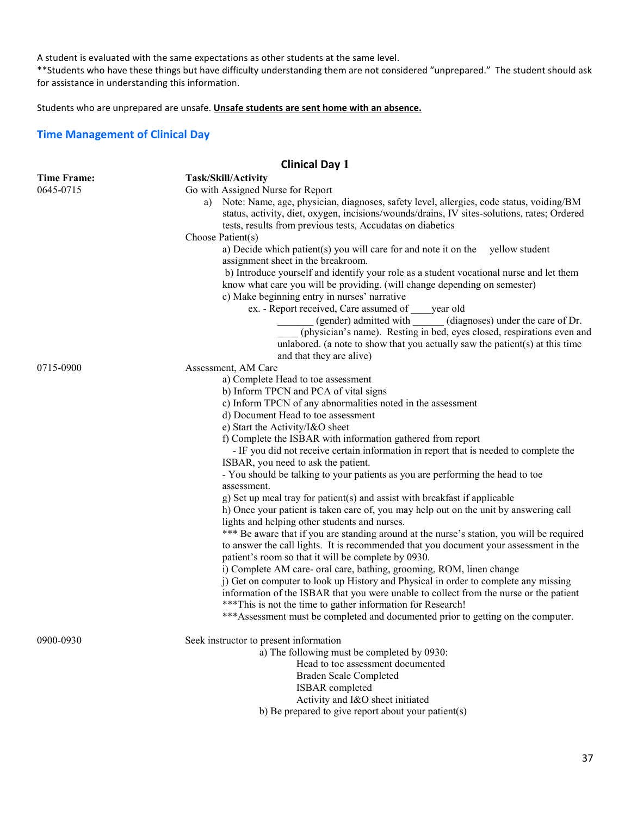A student is evaluated with the same expectations as other students at the same level.

\*\*Students who have these things but have difficulty understanding them are not considered "unprepared." The student should ask for assistance in understanding this information.

Students who are unprepared are unsafe. **Unsafe students are sent home with an absence.** 

### **Time Management of Clinical Day**

## **Clinical Day 1**

| <b>Time Frame:</b> | Task/Skill/Activity                                                                                                                          |  |  |  |  |
|--------------------|----------------------------------------------------------------------------------------------------------------------------------------------|--|--|--|--|
| 0645-0715          | Go with Assigned Nurse for Report                                                                                                            |  |  |  |  |
|                    | Note: Name, age, physician, diagnoses, safety level, allergies, code status, voiding/BM<br>a)                                                |  |  |  |  |
|                    | status, activity, diet, oxygen, incisions/wounds/drains, IV sites-solutions, rates; Ordered                                                  |  |  |  |  |
|                    | tests, results from previous tests, Accudatas on diabetics                                                                                   |  |  |  |  |
|                    | Choose Patient(s)                                                                                                                            |  |  |  |  |
|                    | a) Decide which patient(s) you will care for and note it on the yellow student                                                               |  |  |  |  |
|                    | assignment sheet in the breakroom.                                                                                                           |  |  |  |  |
|                    | b) Introduce yourself and identify your role as a student vocational nurse and let them                                                      |  |  |  |  |
|                    | know what care you will be providing. (will change depending on semester)                                                                    |  |  |  |  |
|                    | c) Make beginning entry in nurses' narrative                                                                                                 |  |  |  |  |
|                    | ex. - Report received, Care assumed of year old                                                                                              |  |  |  |  |
|                    | (gender) admitted with<br>(diagnoses) under the care of Dr.                                                                                  |  |  |  |  |
|                    | (physician's name). Resting in bed, eyes closed, respirations even and                                                                       |  |  |  |  |
|                    | unlabored. (a note to show that you actually saw the patient(s) at this time                                                                 |  |  |  |  |
|                    | and that they are alive)                                                                                                                     |  |  |  |  |
| 0715-0900          | Assessment, AM Care                                                                                                                          |  |  |  |  |
|                    | a) Complete Head to toe assessment                                                                                                           |  |  |  |  |
|                    | b) Inform TPCN and PCA of vital signs                                                                                                        |  |  |  |  |
|                    | c) Inform TPCN of any abnormalities noted in the assessment                                                                                  |  |  |  |  |
|                    | d) Document Head to toe assessment                                                                                                           |  |  |  |  |
|                    | e) Start the Activity/I&O sheet                                                                                                              |  |  |  |  |
|                    | f) Complete the ISBAR with information gathered from report                                                                                  |  |  |  |  |
|                    | - IF you did not receive certain information in report that is needed to complete the                                                        |  |  |  |  |
|                    | ISBAR, you need to ask the patient.                                                                                                          |  |  |  |  |
|                    | - You should be talking to your patients as you are performing the head to toe                                                               |  |  |  |  |
|                    | assessment.                                                                                                                                  |  |  |  |  |
|                    | g) Set up meal tray for patient(s) and assist with breakfast if applicable                                                                   |  |  |  |  |
|                    | h) Once your patient is taken care of, you may help out on the unit by answering call                                                        |  |  |  |  |
|                    | lights and helping other students and nurses.                                                                                                |  |  |  |  |
|                    | *** Be aware that if you are standing around at the nurse's station, you will be required                                                    |  |  |  |  |
|                    | to answer the call lights. It is recommended that you document your assessment in the<br>patient's room so that it will be complete by 0930. |  |  |  |  |
|                    | i) Complete AM care- oral care, bathing, grooming, ROM, linen change                                                                         |  |  |  |  |
|                    | j) Get on computer to look up History and Physical in order to complete any missing                                                          |  |  |  |  |
|                    | information of the ISBAR that you were unable to collect from the nurse or the patient                                                       |  |  |  |  |
|                    | *** This is not the time to gather information for Research!                                                                                 |  |  |  |  |
|                    | *** Assessment must be completed and documented prior to getting on the computer.                                                            |  |  |  |  |
|                    |                                                                                                                                              |  |  |  |  |
| 0900-0930          | Seek instructor to present information                                                                                                       |  |  |  |  |
|                    | a) The following must be completed by 0930:                                                                                                  |  |  |  |  |
|                    | Head to toe assessment documented                                                                                                            |  |  |  |  |
|                    | Braden Scale Completed                                                                                                                       |  |  |  |  |
|                    | ISBAR completed                                                                                                                              |  |  |  |  |
|                    | Activity and I&O sheet initiated                                                                                                             |  |  |  |  |
|                    | b) Be prepared to give report about your patient(s)                                                                                          |  |  |  |  |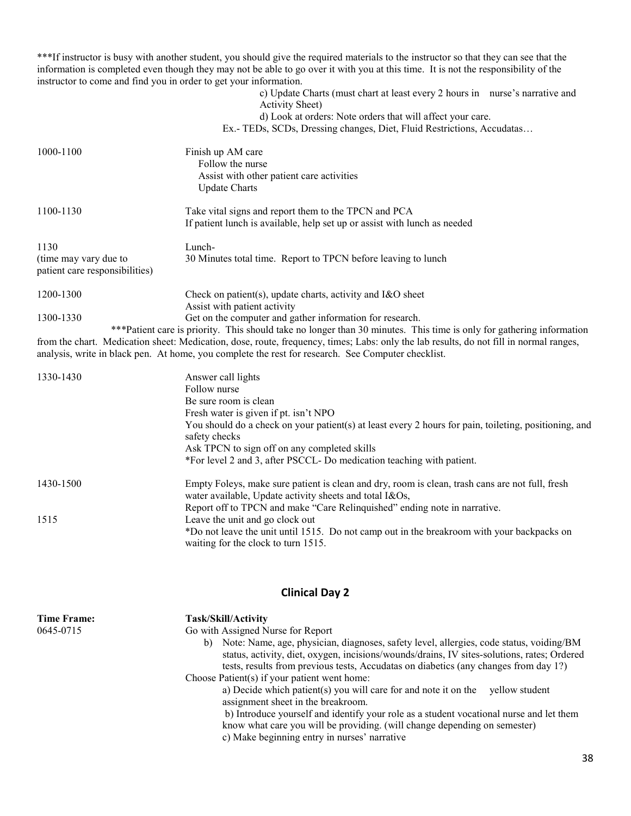\*\*\*If instructor is busy with another student, you should give the required materials to the instructor so that they can see that the information is completed even though they may not be able to go over it with you at this time. It is not the responsibility of the instructor to come and find you in order to get your information.

c) Update Charts (must chart at least every 2 hours in nurse's narrative and Activity Sheet) d) Look at orders: Note orders that will affect your care. Ex.- TEDs, SCDs, Dressing changes, Diet, Fluid Restrictions, Accudatas… 1000-1100 Finish up AM care Follow the nurse Assist with other patient care activities Update Charts 1100-1130 Take vital signs and report them to the TPCN and PCA If patient lunch is available, help set up or assist with lunch as needed 1130 Lunch- (time may vary due to 30 Minutes total time. Report to TPCN before leaving to lunch patient care responsibilities) 1200-1300 Check on patient(s), update charts, activity and I&O sheet Assist with patient activity 1300-1330 Get on the computer and gather information for research. \*\*\*Patient care is priority. This should take no longer than 30 minutes. This time is only for gathering information

from the chart. Medication sheet: Medication, dose, route, frequency, times; Labs: only the lab results, do not fill in normal ranges, analysis, write in black pen. At home, you complete the rest for research. See Computer checklist.

| 1330-1430 | Answer call lights                                                                                                                                         |
|-----------|------------------------------------------------------------------------------------------------------------------------------------------------------------|
|           | Follow nurse                                                                                                                                               |
|           | Be sure room is clean                                                                                                                                      |
|           | Fresh water is given if pt. isn't NPO                                                                                                                      |
|           | You should do a check on your patient(s) at least every 2 hours for pain, toileting, positioning, and<br>safety checks                                     |
|           | Ask TPCN to sign off on any completed skills                                                                                                               |
|           | *For level 2 and 3, after PSCCL-Do medication teaching with patient.                                                                                       |
| 1430-1500 | Empty Foleys, make sure patient is clean and dry, room is clean, trash cans are not full, fresh<br>water available, Update activity sheets and total I&Os, |
|           | Report off to TPCN and make "Care Relinquished" ending note in narrative.                                                                                  |
| 1515      | Leave the unit and go clock out                                                                                                                            |
|           | *Do not leave the unit until 1515. Do not camp out in the breakroom with your backpacks on<br>waiting for the clock to turn 1515.                          |

## **Clinical Day 2**

| <b>Time Frame:</b><br>0645-0715 | Task/Skill/Activity<br>Go with Assigned Nurse for Report<br>Note: Name, age, physician, diagnoses, safety level, allergies, code status, voiding/BM<br>b)<br>status, activity, diet, oxygen, incisions/wounds/drains, IV sites-solutions, rates; Ordered<br>tests, results from previous tests, Accudatas on diabetics (any changes from day 1?)<br>Choose Patient(s) if your patient went home:<br>a) Decide which patient(s) you will care for and note it on the<br>vellow student<br>assignment sheet in the breakroom.<br>b) Introduce yourself and identify your role as a student vocational nurse and let them<br>know what care you will be providing. (will change depending on semester)<br>c) Make beginning entry in nurses' narrative |
|---------------------------------|-----------------------------------------------------------------------------------------------------------------------------------------------------------------------------------------------------------------------------------------------------------------------------------------------------------------------------------------------------------------------------------------------------------------------------------------------------------------------------------------------------------------------------------------------------------------------------------------------------------------------------------------------------------------------------------------------------------------------------------------------------|
|                                 |                                                                                                                                                                                                                                                                                                                                                                                                                                                                                                                                                                                                                                                                                                                                                     |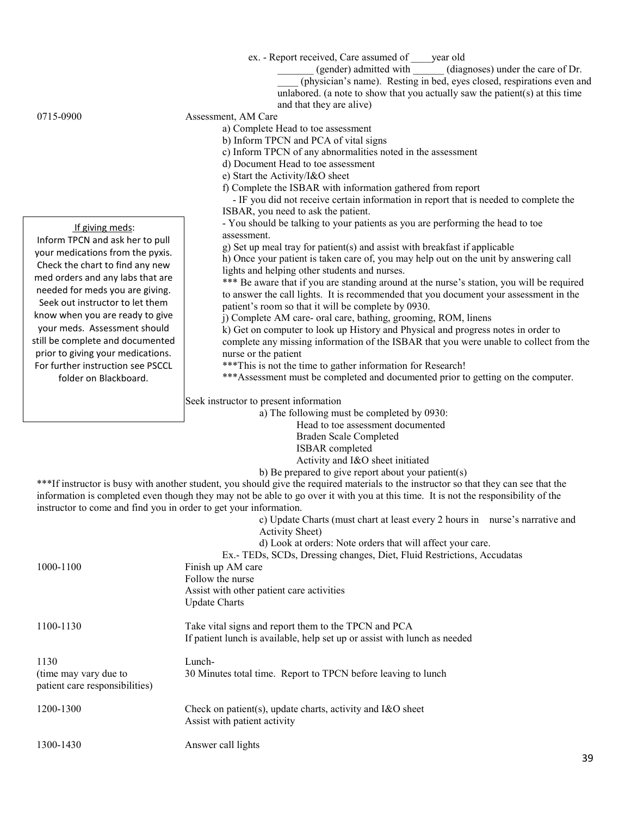ex. - Report received, Care assumed of \_\_\_\_year old

- \_\_\_\_\_\_\_ (gender) admitted with \_\_\_\_\_\_ (diagnoses) under the care of Dr.
- $\overline{\text{(physicals)}}$  name). Resting in bed, eyes closed, respirations even and unlabored. (a note to show that you actually saw the patient(s) at this time and that they are alive)

#### If giving meds:

Inform TPCN and ask her to pull your medications from the pyxis. Check the chart to find any new med orders and any labs that are needed for meds you are giving. Seek out instructor to let them know when you are ready to give your meds. Assessment should still be complete and documented prior to giving your medications. For further instruction see PSCCL folder on Blackboard.

## 0715-0900 Assessment, AM Care

- a) Complete Head to toe assessment
- b) Inform TPCN and PCA of vital signs
- c) Inform TPCN of any abnormalities noted in the assessment
- d) Document Head to toe assessment
- e) Start the Activity/I&O sheet
- f) Complete the ISBAR with information gathered from report
- IF you did not receive certain information in report that is needed to complete the ISBAR, you need to ask the patient.
- You should be talking to your patients as you are performing the head to toe assessment.
- g) Set up meal tray for patient(s) and assist with breakfast if applicable

h) Once your patient is taken care of, you may help out on the unit by answering call lights and helping other students and nurses.

\*\*\* Be aware that if you are standing around at the nurse's station, you will be required to answer the call lights. It is recommended that you document your assessment in the patient's room so that it will be complete by 0930.

j) Complete AM care- oral care, bathing, grooming, ROM, linens

k) Get on computer to look up History and Physical and progress notes in order to complete any missing information of the ISBAR that you were unable to collect from the nurse or the patient

\*\*\*This is not the time to gather information for Research!

\*\*\*Assessment must be completed and documented prior to getting on the computer.

Seek instructor to present information

a) The following must be completed by 0930:

Head to toe assessment documented

Braden Scale Completed

ISBAR completed

Activity and I&O sheet initiated

b) Be prepared to give report about your patient(s)

\*\*\*If instructor is busy with another student, you should give the required materials to the instructor so that they can see that the information is completed even though they may not be able to go over it with you at this time. It is not the responsibility of the instructor to come and find you in order to get your information.

c) Update Charts (must chart at least every 2 hours in nurse's narrative and Activity Sheet)

d) Look at orders: Note orders that will affect your care.

Ex.- TEDs, SCDs, Dressing changes, Diet, Fluid Restrictions, Accudatas

1000-1100 Finish up AM care Follow the nurse

> Assist with other patient care activities Update Charts

1100-1130 Take vital signs and report them to the TPCN and PCA If patient lunch is available, help set up or assist with lunch as needed

1130 Lunch- (time may vary due to 30 Minutes total time. Report to TPCN before leaving to lunch patient care responsibilities)

| 1200-1300 | Check on patient(s), update charts, activity and I&O sheet |
|-----------|------------------------------------------------------------|
|           | Assist with patient activity                               |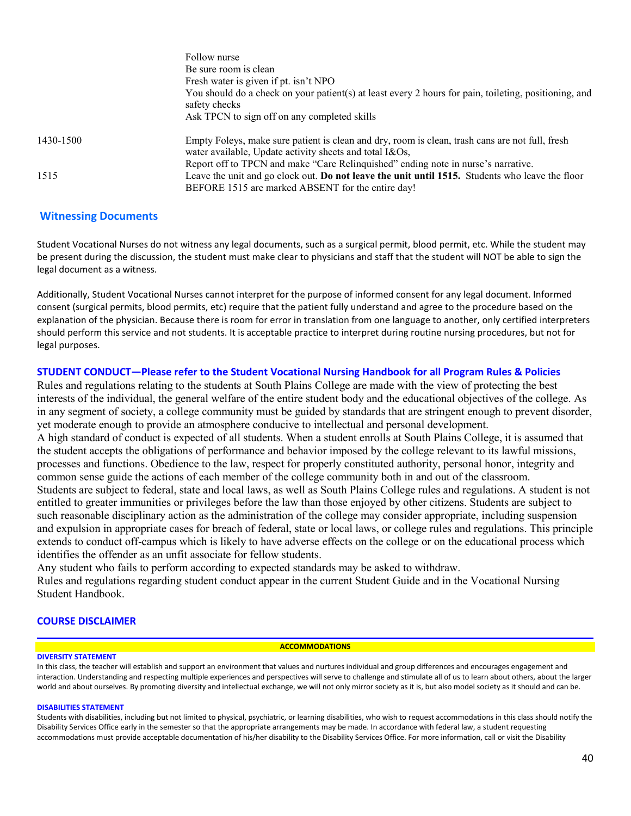|           | Follow nurse                                                                                                                                               |
|-----------|------------------------------------------------------------------------------------------------------------------------------------------------------------|
|           | Be sure room is clean                                                                                                                                      |
|           | Fresh water is given if pt. isn't NPO                                                                                                                      |
|           | You should do a check on your patient(s) at least every 2 hours for pain, toileting, positioning, and<br>safety checks                                     |
|           | Ask TPCN to sign off on any completed skills                                                                                                               |
| 1430-1500 | Empty Foleys, make sure patient is clean and dry, room is clean, trash cans are not full, fresh<br>water available, Update activity sheets and total I&Os, |
|           | Report off to TPCN and make "Care Relinquished" ending note in nurse's narrative.                                                                          |
| 1515      | Leave the unit and go clock out. Do not leave the unit until 1515. Students who leave the floor                                                            |
|           | BEFORE 1515 are marked ABSENT for the entire day!                                                                                                          |

#### **Witnessing Documents**

Student Vocational Nurses do not witness any legal documents, such as a surgical permit, blood permit, etc. While the student may be present during the discussion, the student must make clear to physicians and staff that the student will NOT be able to sign the legal document as a witness.

Additionally, Student Vocational Nurses cannot interpret for the purpose of informed consent for any legal document. Informed consent (surgical permits, blood permits, etc) require that the patient fully understand and agree to the procedure based on the explanation of the physician. Because there is room for error in translation from one language to another, only certified interpreters should perform this service and not students. It is acceptable practice to interpret during routine nursing procedures, but not for legal purposes.

#### **STUDENT CONDUCT—Please refer to the Student Vocational Nursing Handbook for all Program Rules & Policies**

Rules and regulations relating to the students at South Plains College are made with the view of protecting the best interests of the individual, the general welfare of the entire student body and the educational objectives of the college. As in any segment of society, a college community must be guided by standards that are stringent enough to prevent disorder, yet moderate enough to provide an atmosphere conducive to intellectual and personal development.

A high standard of conduct is expected of all students. When a student enrolls at South Plains College, it is assumed that the student accepts the obligations of performance and behavior imposed by the college relevant to its lawful missions, processes and functions. Obedience to the law, respect for properly constituted authority, personal honor, integrity and common sense guide the actions of each member of the college community both in and out of the classroom. Students are subject to federal, state and local laws, as well as South Plains College rules and regulations. A student is not entitled to greater immunities or privileges before the law than those enjoyed by other citizens. Students are subject to such reasonable disciplinary action as the administration of the college may consider appropriate, including suspension and expulsion in appropriate cases for breach of federal, state or local laws, or college rules and regulations. This principle extends to conduct off-campus which is likely to have adverse effects on the college or on the educational process which identifies the offender as an unfit associate for fellow students.

Any student who fails to perform according to expected standards may be asked to withdraw.

Rules and regulations regarding student conduct appear in the current Student Guide and in the Vocational Nursing Student Handbook.

#### **COURSE DISCLAIMER**

#### **ACCOMMODATIONS**

**DIVERSITY STATEMENT**

In this class, the teacher will establish and support an environment that values and nurtures individual and group differences and encourages engagement and interaction. Understanding and respecting multiple experiences and perspectives will serve to challenge and stimulate all of us to learn about others, about the larger world and about ourselves. By promoting diversity and intellectual exchange, we will not only mirror society as it is, but also model society as it should and can be.

#### **DISABILITIES STATEMENT**

Students with disabilities, including but not limited to physical, psychiatric, or learning disabilities, who wish to request accommodations in this class should notify the Disability Services Office early in the semester so that the appropriate arrangements may be made. In accordance with federal law, a student requesting accommodations must provide acceptable documentation of his/her disability to the Disability Services Office. For more information, call or visit the Disability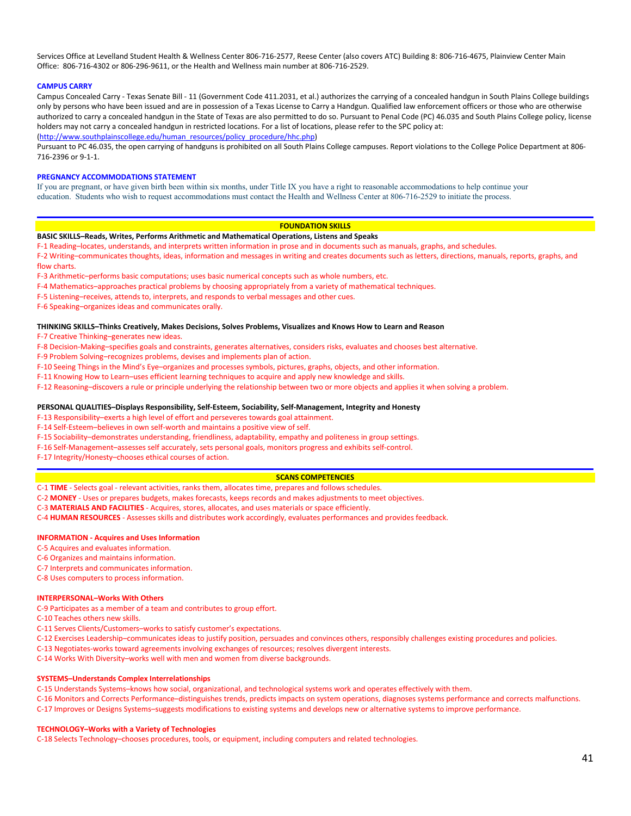Services Office at Levelland Student Health & Wellness Center 806-716-2577, Reese Center (also covers ATC) Building 8: 806-716-4675, Plainview Center Main Office: 806-716-4302 or 806-296-9611, or the Health and Wellness main number at 806-716-2529.

#### **CAMPUS CARRY**

Campus Concealed Carry - Texas Senate Bill - 11 (Government Code 411.2031, et al.) authorizes the carrying of a concealed handgun in South Plains College buildings only by persons who have been issued and are in possession of a Texas License to Carry a Handgun. Qualified law enforcement officers or those who are otherwise authorized to carry a concealed handgun in the State of Texas are also permitted to do so. Pursuant to Penal Code (PC) 46.035 and South Plains College policy, license holders may not carry a concealed handgun in restricted locations. For a list of locations, please refer to the SPC policy at:

[\(http://www.southplainscollege.edu/human\\_resources/policy\\_procedure/hhc.php\)](http://www.southplainscollege.edu/human_resources/policy_procedure/hhc.php)

Pursuant to PC 46.035, the open carrying of handguns is prohibited on all South Plains College campuses. Report violations to the College Police Department at 806- 716-2396 or 9-1-1.

#### **PREGNANCY ACCOMMODATIONS STATEMENT**

If you are pregnant, or have given birth been within six months, under Title IX you have a right to reasonable accommodations to help continue your education. Students who wish to request accommodations must contact the Health and Wellness Center at 806-716-2529 to initiate the process.

#### **FOUNDATION SKILLS**

#### **BASIC SKILLS–Reads, Writes, Performs Arithmetic and Mathematical Operations, Listens and Speaks**

F-1 Reading–locates, understands, and interprets written information in prose and in documents such as manuals, graphs, and schedules.

F-2 Writing–communicates thoughts, ideas, information and messages in writing and creates documents such as letters, directions, manuals, reports, graphs, and flow charts.

F-3 Arithmetic–performs basic computations; uses basic numerical concepts such as whole numbers, etc.

- F-4 Mathematics–approaches practical problems by choosing appropriately from a variety of mathematical techniques.
- F-5 Listening–receives, attends to, interprets, and responds to verbal messages and other cues.

F-6 Speaking–organizes ideas and communicates orally.

#### **THINKING SKILLS–Thinks Creatively, Makes Decisions, Solves Problems, Visualizes and Knows How to Learn and Reason**

F-7 Creative Thinking–generates new ideas.

F-8 Decision-Making–specifies goals and constraints, generates alternatives, considers risks, evaluates and chooses best alternative.

- F-9 Problem Solving–recognizes problems, devises and implements plan of action.
- F-10 Seeing Things in the Mind's Eye–organizes and processes symbols, pictures, graphs, objects, and other information.
- F-11 Knowing How to Learn–uses efficient learning techniques to acquire and apply new knowledge and skills.
- F-12 Reasoning–discovers a rule or principle underlying the relationship between two or more objects and applies it when solving a problem.

#### **PERSONAL QUALITIES–Displays Responsibility, Self-Esteem, Sociability, Self-Management, Integrity and Honesty**

F-13 Responsibility–exerts a high level of effort and perseveres towards goal attainment.

F-14 Self-Esteem–believes in own self-worth and maintains a positive view of self.

- F-15 Sociability–demonstrates understanding, friendliness, adaptability, empathy and politeness in group settings.
- F-16 Self-Management–assesses self accurately, sets personal goals, monitors progress and exhibits self-control.

F-17 Integrity/Honesty–chooses ethical courses of action.

#### **SCANS COMPETENCIES**

C-1 **TIME** - Selects goal - relevant activities, ranks them, allocates time, prepares and follows schedules.

C-2 **MONEY** - Uses or prepares budgets, makes forecasts, keeps records and makes adjustments to meet objectives.

- C-3 **MATERIALS AND FACILITIES** Acquires, stores, allocates, and uses materials or space efficiently.
- C-4 **HUMAN RESOURCES** Assesses skills and distributes work accordingly, evaluates performances and provides feedback.

#### **INFORMATION - Acquires and Uses Information**

- C-5 Acquires and evaluates information.
- C-6 Organizes and maintains information.
- C-7 Interprets and communicates information.

C-8 Uses computers to process information.

#### **INTERPERSONAL–Works With Others**

C-9 Participates as a member of a team and contributes to group effort.

- C-10 Teaches others new skills.
- C-11 Serves Clients/Customers–works to satisfy customer's expectations.
- C-12 Exercises Leadership–communicates ideas to justify position, persuades and convinces others, responsibly challenges existing procedures and policies.
- C-13 Negotiates-works toward agreements involving exchanges of resources; resolves divergent interests.
- C-14 Works With Diversity–works well with men and women from diverse backgrounds.

#### **SYSTEMS–Understands Complex Interrelationships**

C-15 Understands Systems–knows how social, organizational, and technological systems work and operates effectively with them.

- C-16 Monitors and Corrects Performance–distinguishes trends, predicts impacts on system operations, diagnoses systems performance and corrects malfunctions.
- C-17 Improves or Designs Systems–suggests modifications to existing systems and develops new or alternative systems to improve performance.

#### **TECHNOLOGY–Works with a Variety of Technologies**

C-18 Selects Technology–chooses procedures, tools, or equipment, including computers and related technologies.